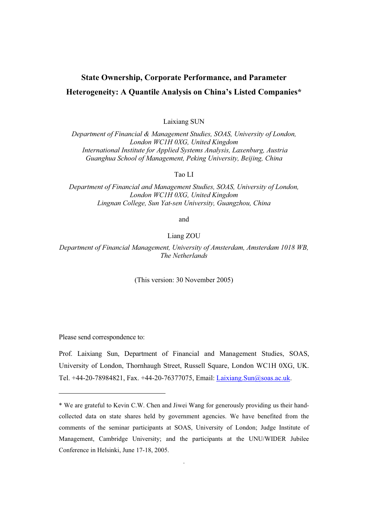# **State Ownership, Corporate Performance, and Parameter**

# **Heterogeneity: A Quantile Analysis on China's Listed Companies\***

Laixiang SUN

*Department of Financial & Management Studies, SOAS, University of London, London WC1H 0XG, United Kingdom International Institute for Applied Systems Analysis, Laxenburg, Austria Guanghua School of Management, Peking University, Beijing, China*

Tao LI

*Department of Financial and Management Studies, SOAS, University of London, London WC1H 0XG, United Kingdom Lingnan College, Sun Yat-sen University, Guangzhou, China*

and

Liang ZOU

*Department of Financial Management, University of Amsterdam, Amsterdam 1018 WB, The Netherlands* 

(This version: 30 November 2005)

Please send correspondence to:

Prof. Laixiang Sun, Department of Financial and Management Studies, SOAS, University of London, Thornhaugh Street, Russell Square, London WC1H 0XG, UK. Tel. +44-20-78984821, Fax. +44-20-76377075, Email: Laixiang. Sun@soas.ac.uk.

.

<sup>\*</sup> We are grateful to Kevin C.W. Chen and Jiwei Wang for generously providing us their handcollected data on state shares held by government agencies. We have benefited from the comments of the seminar participants at SOAS, University of London; Judge Institute of Management, Cambridge University; and the participants at the UNU/WIDER Jubilee Conference in Helsinki, June 17-18, 2005.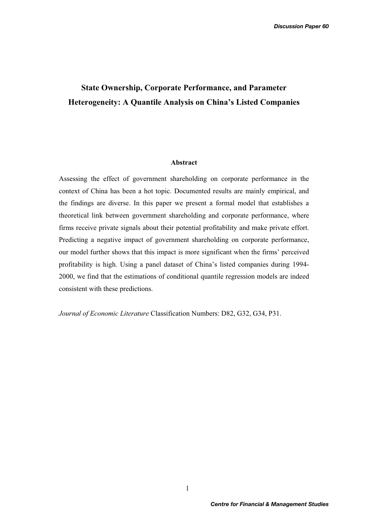# **State Ownership, Corporate Performance, and Parameter Heterogeneity: A Quantile Analysis on China's Listed Companies**

## **Abstract**

Assessing the effect of government shareholding on corporate performance in the context of China has been a hot topic. Documented results are mainly empirical, and the findings are diverse. In this paper we present a formal model that establishes a theoretical link between government shareholding and corporate performance, where firms receive private signals about their potential profitability and make private effort. Predicting a negative impact of government shareholding on corporate performance, our model further shows that this impact is more significant when the firms' perceived profitability is high. Using a panel dataset of China's listed companies during 1994- 2000, we find that the estimations of conditional quantile regression models are indeed consistent with these predictions.

*Journal of Economic Literature* Classification Numbers: D82, G32, G34, P31.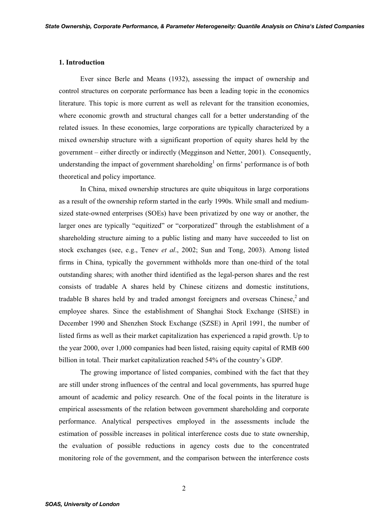#### **1. Introduction**

Ever since Berle and Means (1932), assessing the impact of ownership and control structures on corporate performance has been a leading topic in the economics literature. This topic is more current as well as relevant for the transition economies, where economic growth and structural changes call for a better understanding of the related issues. In these economies, large corporations are typically characterized by a mixed ownership structure with a significant proportion of equity shares held by the government – either directly or indirectly (Megginson and Netter, 2001). Consequently, understanding the impact of government shareholding<sup>1</sup> on firms' performance is of both theoretical and policy importance.

 In China, mixed ownership structures are quite ubiquitous in large corporations as a result of the ownership reform started in the early 1990s. While small and mediumsized state-owned enterprises (SOEs) have been privatized by one way or another, the larger ones are typically "equitized" or "corporatized" through the establishment of a shareholding structure aiming to a public listing and many have succeeded to list on stock exchanges (see, e.g., Tenev *et al*., 2002; Sun and Tong, 2003). Among listed firms in China, typically the government withholds more than one-third of the total outstanding shares; with another third identified as the legal-person shares and the rest consists of tradable A shares held by Chinese citizens and domestic institutions, tradable B shares held by and traded amongst foreigners and overseas Chinese, $^2$  and employee shares. Since the establishment of Shanghai Stock Exchange (SHSE) in December 1990 and Shenzhen Stock Exchange (SZSE) in April 1991, the number of listed firms as well as their market capitalization has experienced a rapid growth. Up to the year 2000, over 1,000 companies had been listed, raising equity capital of RMB 600 billion in total. Their market capitalization reached 54% of the country's GDP.

 The growing importance of listed companies, combined with the fact that they are still under strong influences of the central and local governments, has spurred huge amount of academic and policy research. One of the focal points in the literature is empirical assessments of the relation between government shareholding and corporate performance. Analytical perspectives employed in the assessments include the estimation of possible increases in political interference costs due to state ownership, the evaluation of possible reductions in agency costs due to the concentrated monitoring role of the government, and the comparison between the interference costs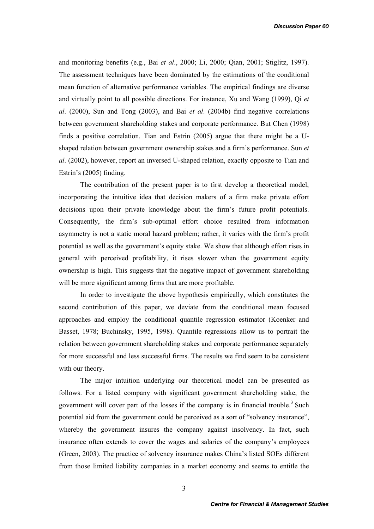and monitoring benefits (e.g., Bai *et al*., 2000; Li, 2000; Qian, 2001; Stiglitz, 1997). The assessment techniques have been dominated by the estimations of the conditional mean function of alternative performance variables. The empirical findings are diverse and virtually point to all possible directions. For instance, Xu and Wang (1999), Qi *et al*. (2000), Sun and Tong (2003), and Bai *et al*. (2004b) find negative correlations between government shareholding stakes and corporate performance. But Chen (1998) finds a positive correlation. Tian and Estrin (2005) argue that there might be a Ushaped relation between government ownership stakes and a firm's performance. Sun *et al*. (2002), however, report an inversed U-shaped relation, exactly opposite to Tian and Estrin's (2005) finding.

 The contribution of the present paper is to first develop a theoretical model, incorporating the intuitive idea that decision makers of a firm make private effort decisions upon their private knowledge about the firm's future profit potentials. Consequently, the firm's sub-optimal effort choice resulted from information asymmetry is not a static moral hazard problem; rather, it varies with the firm's profit potential as well as the government's equity stake. We show that although effort rises in general with perceived profitability, it rises slower when the government equity ownership is high. This suggests that the negative impact of government shareholding will be more significant among firms that are more profitable.

In order to investigate the above hypothesis empirically, which constitutes the second contribution of this paper, we deviate from the conditional mean focused approaches and employ the conditional quantile regression estimator (Koenker and Basset, 1978; Buchinsky, 1995, 1998). Quantile regressions allow us to portrait the relation between government shareholding stakes and corporate performance separately for more successful and less successful firms. The results we find seem to be consistent with our theory.

The major intuition underlying our theoretical model can be presented as follows. For a listed company with significant government shareholding stake, the government will cover part of the losses if the company is in financial trouble.<sup>3</sup> Such potential aid from the government could be perceived as a sort of "solvency insurance", whereby the government insures the company against insolvency. In fact, such insurance often extends to cover the wages and salaries of the company's employees (Green, 2003). The practice of solvency insurance makes China's listed SOEs different from those limited liability companies in a market economy and seems to entitle the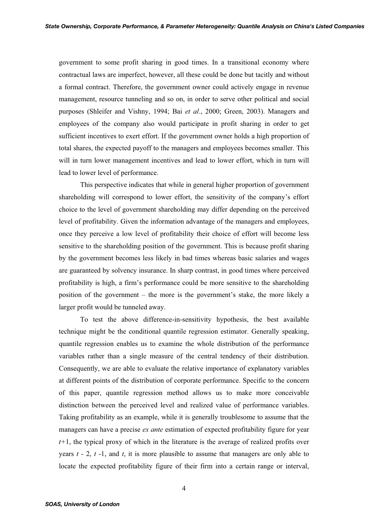government to some profit sharing in good times. In a transitional economy where contractual laws are imperfect, however, all these could be done but tacitly and without a formal contract. Therefore, the government owner could actively engage in revenue management, resource tunneling and so on, in order to serve other political and social purposes (Shleifer and Vishny, 1994; Bai *et al*., 2000; Green, 2003). Managers and employees of the company also would participate in profit sharing in order to get sufficient incentives to exert effort. If the government owner holds a high proportion of total shares, the expected payoff to the managers and employees becomes smaller. This will in turn lower management incentives and lead to lower effort, which in turn will lead to lower level of performance.

This perspective indicates that while in general higher proportion of government shareholding will correspond to lower effort, the sensitivity of the company's effort choice to the level of government shareholding may differ depending on the perceived level of profitability. Given the information advantage of the managers and employees, once they perceive a low level of profitability their choice of effort will become less sensitive to the shareholding position of the government. This is because profit sharing by the government becomes less likely in bad times whereas basic salaries and wages are guaranteed by solvency insurance. In sharp contrast, in good times where perceived profitability is high, a firm's performance could be more sensitive to the shareholding position of the government – the more is the government's stake, the more likely a larger profit would be tunneled away.

To test the above difference-in-sensitivity hypothesis, the best available technique might be the conditional quantile regression estimator. Generally speaking, quantile regression enables us to examine the whole distribution of the performance variables rather than a single measure of the central tendency of their distribution. Consequently, we are able to evaluate the relative importance of explanatory variables at different points of the distribution of corporate performance. Specific to the concern of this paper, quantile regression method allows us to make more conceivable distinction between the perceived level and realized value of performance variables. Taking profitability as an example, while it is generally troublesome to assume that the managers can have a precise *ex ante* estimation of expected profitability figure for year *t+*1, the typical proxy of which in the literature is the average of realized profits over years *t* - 2, *t* -1, and *t*, it is more plausible to assume that managers are only able to locate the expected profitability figure of their firm into a certain range or interval,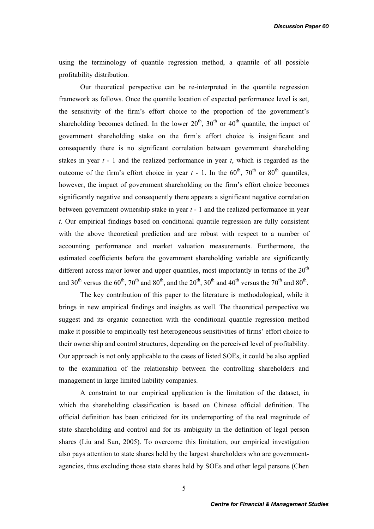using the terminology of quantile regression method, a quantile of all possible profitability distribution.

Our theoretical perspective can be re-interpreted in the quantile regression framework as follows. Once the quantile location of expected performance level is set, the sensitivity of the firm's effort choice to the proportion of the government's shareholding becomes defined. In the lower  $20^{th}$ ,  $30^{th}$  or  $40^{th}$  quantile, the impact of government shareholding stake on the firm's effort choice is insignificant and consequently there is no significant correlation between government shareholding stakes in year *t* - 1 and the realized performance in year *t*, which is regarded as the outcome of the firm's effort choice in year  $t - 1$ . In the 60<sup>th</sup>, 70<sup>th</sup> or 80<sup>th</sup> quantiles, however, the impact of government shareholding on the firm's effort choice becomes significantly negative and consequently there appears a significant negative correlation between government ownership stake in year *t* - 1 and the realized performance in year *t*. Our empirical findings based on conditional quantile regression are fully consistent with the above theoretical prediction and are robust with respect to a number of accounting performance and market valuation measurements. Furthermore, the estimated coefficients before the government shareholding variable are significantly different across major lower and upper quantiles, most importantly in terms of the  $20<sup>th</sup>$ and 30<sup>th</sup> versus the 60<sup>th</sup>, 70<sup>th</sup> and 80<sup>th</sup>, and the 20<sup>th</sup>, 30<sup>th</sup> and 40<sup>th</sup> versus the 70<sup>th</sup> and 80<sup>th</sup>.

The key contribution of this paper to the literature is methodological, while it brings in new empirical findings and insights as well. The theoretical perspective we suggest and its organic connection with the conditional quantile regression method make it possible to empirically test heterogeneous sensitivities of firms' effort choice to their ownership and control structures, depending on the perceived level of profitability. Our approach is not only applicable to the cases of listed SOEs, it could be also applied to the examination of the relationship between the controlling shareholders and management in large limited liability companies.

A constraint to our empirical application is the limitation of the dataset, in which the shareholding classification is based on Chinese official definition. The official definition has been criticized for its underreporting of the real magnitude of state shareholding and control and for its ambiguity in the definition of legal person shares (Liu and Sun, 2005). To overcome this limitation, our empirical investigation also pays attention to state shares held by the largest shareholders who are governmentagencies, thus excluding those state shares held by SOEs and other legal persons (Chen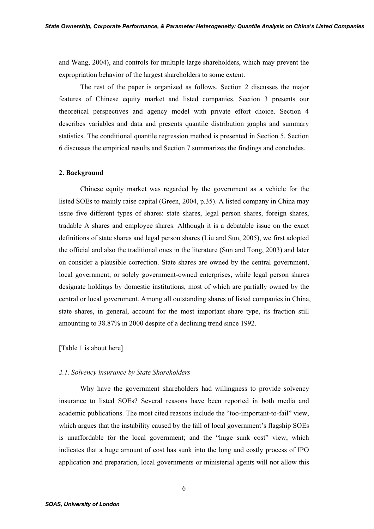and Wang, 2004), and controls for multiple large shareholders, which may prevent the expropriation behavior of the largest shareholders to some extent.

The rest of the paper is organized as follows. Section 2 discusses the major features of Chinese equity market and listed companies. Section 3 presents our theoretical perspectives and agency model with private effort choice. Section 4 describes variables and data and presents quantile distribution graphs and summary statistics. The conditional quantile regression method is presented in Section 5. Section 6 discusses the empirical results and Section 7 summarizes the findings and concludes.

#### **2. Background**

Chinese equity market was regarded by the government as a vehicle for the listed SOEs to mainly raise capital (Green, 2004, p.35). A listed company in China may issue five different types of shares: state shares, legal person shares, foreign shares, tradable A shares and employee shares. Although it is a debatable issue on the exact definitions of state shares and legal person shares (Liu and Sun, 2005), we first adopted the official and also the traditional ones in the literature (Sun and Tong, 2003) and later on consider a plausible correction. State shares are owned by the central government, local government, or solely government-owned enterprises, while legal person shares designate holdings by domestic institutions, most of which are partially owned by the central or local government. Among all outstanding shares of listed companies in China, state shares, in general, account for the most important share type, its fraction still amounting to 38.87% in 2000 despite of a declining trend since 1992.

## [Table 1 is about here]

#### *2.1. Solvency insurance by State Shareholders*

Why have the government shareholders had willingness to provide solvency insurance to listed SOEs? Several reasons have been reported in both media and academic publications. The most cited reasons include the "too-important-to-fail" view, which argues that the instability caused by the fall of local government's flagship SOEs is unaffordable for the local government; and the "huge sunk cost" view, which indicates that a huge amount of cost has sunk into the long and costly process of IPO application and preparation, local governments or ministerial agents will not allow this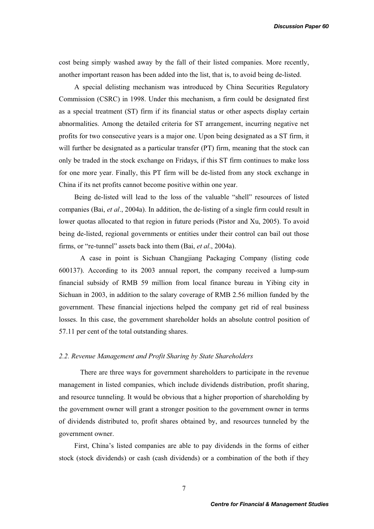cost being simply washed away by the fall of their listed companies. More recently, another important reason has been added into the list, that is, to avoid being de-listed.

A special delisting mechanism was introduced by China Securities Regulatory Commission (CSRC) in 1998. Under this mechanism, a firm could be designated first as a special treatment (ST) firm if its financial status or other aspects display certain abnormalities. Among the detailed criteria for ST arrangement, incurring negative net profits for two consecutive years is a major one. Upon being designated as a ST firm, it will further be designated as a particular transfer (PT) firm, meaning that the stock can only be traded in the stock exchange on Fridays, if this ST firm continues to make loss for one more year. Finally, this PT firm will be de-listed from any stock exchange in China if its net profits cannot become positive within one year.

Being de-listed will lead to the loss of the valuable "shell" resources of listed companies (Bai, *et al*., 2004a). In addition, the de-listing of a single firm could result in lower quotas allocated to that region in future periods (Pistor and Xu, 2005). To avoid being de-listed, regional governments or entities under their control can bail out those firms, or "re-tunnel" assets back into them (Bai, *et al*., 2004a).

 A case in point is Sichuan Changjiang Packaging Company (listing code 600137). According to its 2003 annual report, the company received a lump-sum financial subsidy of RMB 59 million from local finance bureau in Yibing city in Sichuan in 2003, in addition to the salary coverage of RMB 2.56 million funded by the government. These financial injections helped the company get rid of real business losses. In this case, the government shareholder holds an absolute control position of 57.11 per cent of the total outstanding shares.

### *2.2. Revenue Management and Profit Sharing by State Shareholders*

There are three ways for government shareholders to participate in the revenue management in listed companies, which include dividends distribution, profit sharing, and resource tunneling. It would be obvious that a higher proportion of shareholding by the government owner will grant a stronger position to the government owner in terms of dividends distributed to, profit shares obtained by, and resources tunneled by the government owner.

First, China's listed companies are able to pay dividends in the forms of either stock (stock dividends) or cash (cash dividends) or a combination of the both if they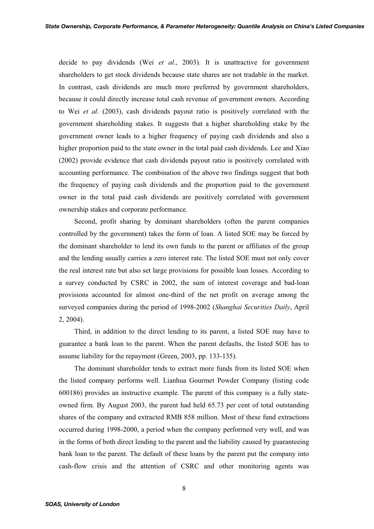decide to pay dividends (Wei *et al*., 2003). It is unattractive for government shareholders to get stock dividends because state shares are not tradable in the market. In contrast, cash dividends are much more preferred by government shareholders, because it could directly increase total cash revenue of government owners. According to Wei *et al*. (2003), cash dividends payout ratio is positively correlated with the government shareholding stakes. It suggests that a higher shareholding stake by the government owner leads to a higher frequency of paying cash dividends and also a higher proportion paid to the state owner in the total paid cash dividends. Lee and Xiao (2002) provide evidence that cash dividends payout ratio is positively correlated with accounting performance. The combination of the above two findings suggest that both the frequency of paying cash dividends and the proportion paid to the government owner in the total paid cash dividends are positively correlated with government ownership stakes and corporate performance.

Second, profit sharing by dominant shareholders (often the parent companies controlled by the government) takes the form of loan. A listed SOE may be forced by the dominant shareholder to lend its own funds to the parent or affiliates of the group and the lending usually carries a zero interest rate. The listed SOE must not only cover the real interest rate but also set large provisions for possible loan losses. According to a survey conducted by CSRC in 2002, the sum of interest coverage and bad-loan provisions accounted for almost one-third of the net profit on average among the surveyed companies during the period of 1998-2002 (*Shanghai Securities Daily*, April 2, 2004).

Third, in addition to the direct lending to its parent, a listed SOE may have to guarantee a bank loan to the parent. When the parent defaults, the listed SOE has to assume liability for the repayment (Green, 2003, pp. 133-135).

The dominant shareholder tends to extract more funds from its listed SOE when the listed company performs well. Lianhua Gourmet Powder Company (listing code 600186) provides an instructive example. The parent of this company is a fully stateowned firm. By August 2003, the parent had held 65.73 per cent of total outstanding shares of the company and extracted RMB 858 million. Most of these fund extractions occurred during 1998-2000, a period when the company performed very well, and was in the forms of both direct lending to the parent and the liability caused by guaranteeing bank loan to the parent. The default of these loans by the parent put the company into cash-flow crisis and the attention of CSRC and other monitoring agents was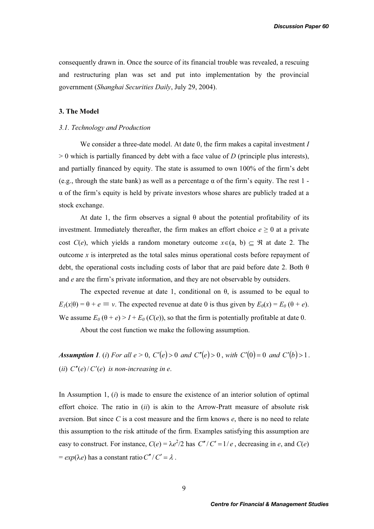consequently drawn in. Once the source of its financial trouble was revealed, a rescuing and restructuring plan was set and put into implementation by the provincial government (*Shanghai Securities Daily*, July 29, 2004).

## **3. The Model**

## *3.1. Technology and Production*

We consider a three-date model. At date 0, the firm makes a capital investment *I* > 0 which is partially financed by debt with a face value of *D* (principle plus interests), and partially financed by equity. The state is assumed to own 100% of the firm's debt (e.g., through the state bank) as well as a percentage  $\alpha$  of the firm's equity. The rest 1 - $\alpha$  of the firm's equity is held by private investors whose shares are publicly traded at a stock exchange.

At date 1, the firm observes a signal  $\theta$  about the potential profitability of its investment. Immediately thereafter, the firm makes an effort choice  $e \ge 0$  at a private cost  $C(e)$ , which yields a random monetary outcome  $x \in (a, b) \subseteq \Re$  at date 2. The outcome *x* is interpreted as the total sales minus operational costs before repayment of debt, the operational costs including costs of labor that are paid before date 2. Both  $\theta$ and *e* are the firm's private information, and they are not observable by outsiders.

The expected revenue at date 1, conditional on  $\theta$ , is assumed to be equal to  $E_1(x|\theta) = \theta + e \equiv v$ . The expected revenue at date 0 is thus given by  $E_0(x) = E_0(\theta + e)$ . We assume  $E_0(\theta + e) > I + E_0(C(e))$ , so that the firm is potentially profitable at date 0.

About the cost function we make the following assumption.

*Assumption 1. (i)* For all  $e > 0$ ,  $C'(e) > 0$  and  $C''(e) > 0$ , with  $C'(0) = 0$  and  $C'(b) > 1$ . (*ii*)  $C''(e)/C'(e)$  *is non-increasing in e.* 

In Assumption 1, (*i*) is made to ensure the existence of an interior solution of optimal effort choice. The ratio in (*ii*) is akin to the Arrow-Pratt measure of absolute risk aversion. But since *C* is a cost measure and the firm knows *e*, there is no need to relate this assumption to the risk attitude of the firm. Examples satisfying this assumption are easy to construct. For instance,  $C(e) = \lambda e^2/2$  has  $C''/C' = 1/e$ , decreasing in *e*, and  $C(e)$  $= exp(\lambda e)$  has a constant ratio  $C''/C' = \lambda$ .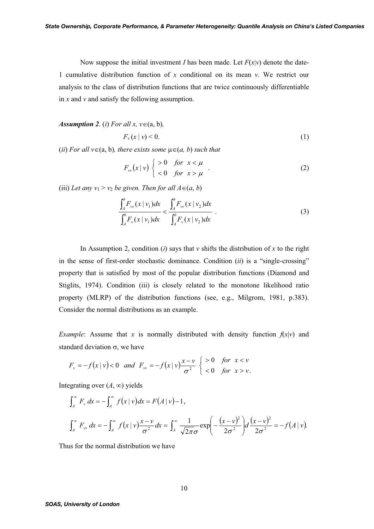Now suppose the initial investment *I* has been made. Let  $F(x|v)$  denote the date-1 cumulative distribution function of *x* conditional on its mean *v*. We restrict our analysis to the class of distribution functions that are twice continuously differentiable in *x* and *v* and satisfy the following assumption.

*Assumption 2. (i) For all x,*  $v \in (a, b)$ *,* 

$$
F_{\nu}(x \mid \nu) < 0. \tag{1}
$$

 $(iii)$  *For all v* $\in$  (a, b)*, there exists some*  $\mu \in$  (*a, b*) *such that* 

$$
F_{vv}(x \mid v) \begin{cases} > 0 \quad \text{for} \quad x < \mu \\ < 0 \quad \text{for} \quad x > \mu \end{cases} \tag{2}
$$

(iii) Let any  $v_1 > v_2$  be given. Then for all  $A \in (a, b)$ 

$$
\frac{\int_{A}^{b} F_{vv}(x \mid v_1) dx}{\int_{A}^{b} F_{v}(x \mid v_1) dx} < \frac{\int_{A}^{b} F_{vv}(x \mid v_2) dx}{\int_{A}^{b} F_{v}(x \mid v_2) dx}.
$$
\n(3)

In Assumption 2, condition (*i*) says that  $\nu$  shifts the distribution of  $x$  to the right in the sense of first-order stochastic dominance. Condition (*ii*) is a "single-crossing" property that is satisfied by most of the popular distribution functions (Diamond and Stiglits, 1974). Condition (iii) is closely related to the monotone likelihood ratio property (MLRP) of the distribution functions (see, e.g., Milgrom, 1981, p.383). Consider the normal distributions as an example.

*Example*: Assume that *x* is normally distributed with density function  $f(x|v)$  and standard deviation  $\sigma$ , we have

$$
F_{\nu}=-f(x|\nu)<0 \text{ and } F_{\nu\nu}=-f(x|\nu)\frac{x-\nu}{\sigma^2}\begin{cases} >0 \quad \text{for } x<\nu\\ < 0 \quad \text{for } x>\nu. \end{cases}
$$

Integrating over  $(A, \infty)$  yields

$$
\int_{A}^{\infty} F_{\nu} dx = -\int_{A}^{\infty} f(x | \nu) dx = F(A | \nu) - 1,
$$
  

$$
\int_{A}^{\infty} F_{\nu \nu} dx = -\int_{A}^{\infty} f(x | \nu) \frac{x - \nu}{\sigma^{2}} dx = \int_{A}^{\infty} \frac{1}{\sqrt{2\pi} \sigma} \exp\left(-\frac{(x - \nu)^{2}}{2\sigma^{2}}\right) d\frac{(x - \nu)^{2}}{2\sigma^{2}} = -f(A | \nu).
$$

Thus for the normal distribution we have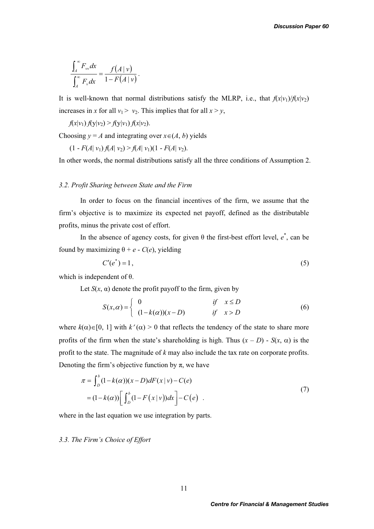$$
\frac{\int_A^\infty F_\nu dx}{\int_A^\infty F_\nu dx} = \frac{f(A \mid v)}{1 - F(A \mid v)}.
$$

It is well-known that normal distributions satisfy the MLRP, i.e., that  $f(x|v_1)/f(x|v_2)$ increases in *x* for all  $v_1 > v_2$ . This implies that for all  $x > y$ ,

*f*(*x*|*v*<sub>1</sub>) *f*(y|*v*<sub>2</sub>) > *f*(y|*v*<sub>1</sub>) *f*(*x*|*v*<sub>2</sub>).

Choosing  $y = A$  and integrating over  $x \in (A, b)$  yields

 $(1 - F(A | v_1) f(A | v_2) > f(A | v_1)(1 - F(A | v_2)).$ 

In other words, the normal distributions satisfy all the three conditions of Assumption 2.

#### *3.2. Profit Sharing between State and the Firm*

In order to focus on the financial incentives of the firm, we assume that the firm's objective is to maximize its expected net payoff, defined as the distributable profits, minus the private cost of effort.

In the absence of agency costs, for given  $\theta$  the first-best effort level,  $e^*$ , can be found by maximizing  $\theta + e - C(e)$ , yielding

$$
C'(e^*) = 1,\tag{5}
$$

which is independent of  $\theta$ .

Let  $S(x, \alpha)$  denote the profit payoff to the firm, given by

$$
S(x, \alpha) = \begin{cases} 0 & \text{if } x \le D \\ (1 - k(\alpha))(x - D) & \text{if } x > D \end{cases}
$$
(6)

where  $k(\alpha) \in [0, 1]$  with  $k'(\alpha) > 0$  that reflects the tendency of the state to share more profits of the firm when the state's shareholding is high. Thus  $(x - D) - S(x, \alpha)$  is the profit to the state. The magnitude of *k* may also include the tax rate on corporate profits. Denoting the firm's objective function by  $\pi$ , we have

$$
\pi = \int_{D}^{b} (1 - k(\alpha))(x - D) dF(x | v) - C(e)
$$
  
=  $(1 - k(\alpha)) \left[ \int_{D}^{b} (1 - F(x | v)) dx \right] - C(e)$  (7)

where in the last equation we use integration by parts.

## *3.3. The Firm's Choice of Effort*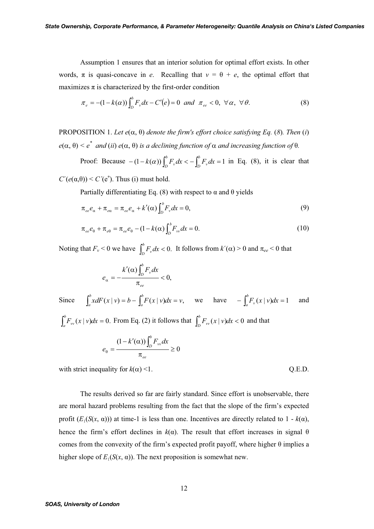Assumption 1 ensures that an interior solution for optimal effort exists. In other words,  $\pi$  is quasi-concave in *e*. Recalling that  $v = \theta + e$ , the optimal effort that maximizes  $\pi$  is characterized by the first-order condition

$$
\pi_e = -(1 - k(\alpha)) \int_D^b F_v dx - C'(e) = 0 \text{ and } \pi_{ee} < 0, \forall \alpha, \forall \theta.
$$
 (8)

PROPOSITION 1. Let  $e(\alpha, \theta)$  denote the firm's effort choice satisfying Eq. (8). Then (*i*)  $e(\alpha, \theta) \leq e^*$  and (*ii*)  $e(\alpha, \theta)$  is a declining function of  $\alpha$  and increasing function of  $\theta$ .

Proof: Because  $-(1 - k(\alpha)) \int_{D}^{b} F_{v} dx < - \int_{D}^{b} F_{v} dx = 1$  $D^{\mathcal{I} \, v}$  $b(x)$   $\int_{D}^{b} F_{v} dx < -\int_{D}^{b} F_{v} dx = 1$  in Eq. (8), it is clear that

 $C'(e(\alpha,\theta)) \leq C'(e^*)$ . Thus (i) must hold.

Partially differentiating Eq. (8) with respect to  $\alpha$  and  $\theta$  yields

$$
\pi_{ee}e_{\alpha} + \pi_{e\alpha} = \pi_{ee}e_{\alpha} + k'(\alpha)\int_{D}^{b}F_{\nu}dx = 0,
$$
\n(9)

$$
\pi_{ee}e_{\theta} + \pi_{e\theta} = \pi_{ee}e_{\theta} - (1 - k(\alpha)\int_{D}^{b} F_{vv}dx = 0.
$$
\n(10)

Noting that  $F_v < 0$  we have  $\int_D^b F_v dx < 0$ . It follows from  $k'(\alpha) > 0$  and  $\pi_{ee} < 0$  that

$$
e_{\alpha}=-\frac{k'(\alpha)\int_{D}^{b}F_{\nu}dx}{\pi_{ee}}<0,
$$

Since  $\int_{a}^{b} x dF(x | v) = b - \int_{a}^{b} F(x | v) dx = v$ ,

$$
\int_a^b x dF(x | v) = b - \int_a^b F(x | v) dx = v, \quad \text{we} \quad \text{have} \quad - \int_a^b F_v(x | v) dx = 1 \quad \text{and}
$$

 $\int_a^b F_w(x | v) dx = 0$ . From Eq. (2) it follows that  $\int_b^b F_w(x | v) dx < 0$  and that

$$
e_{\theta} = \frac{(1 - k'(\alpha))\int_{D}^{b} F_{vv} dx}{\pi_{ee}} \ge 0
$$

with strict inequality for  $k(\alpha) \le 1$ . Q.E.D.

The results derived so far are fairly standard. Since effort is unobservable, there are moral hazard problems resulting from the fact that the slope of the firm's expected profit  $(E_1(S(x, \alpha))$ ) at time-1 is less than one. Incentives are directly related to 1 -  $k(\alpha)$ , hence the firm's effort declines in  $k(\alpha)$ . The result that effort increases in signal  $\theta$ comes from the convexity of the firm's expected profit payoff, where higher  $\theta$  implies a higher slope of  $E_1(S(x, \alpha))$ . The next proposition is somewhat new.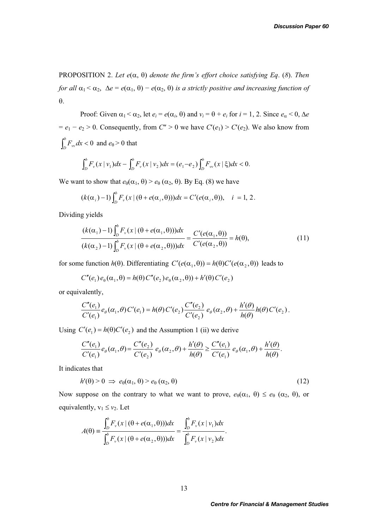PROPOSITION 2. Let  $e(\alpha, \theta)$  denote the firm's effort choice satisfying Eq. (8). Then *for all*  $\alpha_1 < \alpha_2$ ,  $\Delta e = e(\alpha_1, \theta) - e(\alpha_2, \theta)$  *is a strictly positive and increasing function of*  $\theta$ .

Proof: Given  $\alpha_1 < \alpha_2$ , let  $e_i = e(\alpha_i, \theta)$  and  $v_i = \theta + e_i$  for  $i = 1, 2$ . Since  $e_\alpha < 0$ ,  $\Delta e$  $= e_1 - e_2 > 0$ . Consequently, from *C''* > 0 we have *C'*(*e*<sub>1</sub>) > *C'*(*e*<sub>2</sub>). We also know from  $\int_{D}^{b} F_{vv} dx < 0$  and  $e_{\theta} > 0$  that

$$
\int_D^b F_{\nu}(x \mid v_1) dx - \int_D^b F_{\nu}(x \mid v_2) dx = (e_1 - e_2) \int_D^b F_{\nu \nu}(x \mid \xi) dx < 0.
$$

We want to show that  $e_{\theta}(\alpha_1, \theta) > e_{\theta}(\alpha_2, \theta)$ . By Eq. (8) we have

$$
(k(\alpha_i)-1)\int_D^b F_\nu(x\,|\,(\theta+e(\alpha_i,\theta)))dx=C'(e(\alpha_i,\theta)),\quad i=1,2.
$$

Dividing yields

$$
\frac{(k(\alpha_1)-1)\int_D^b F_v(x \mid (\theta + e(\alpha_1, \theta)))dx}{(k(\alpha_2)-1)\int_D^b F_v(x \mid (\theta + e(\alpha_2, \theta)))dx} = \frac{C'(e(\alpha_1, \theta))}{C'(e(\alpha_2, \theta))} = h(\theta),
$$
\n(11)

for some function  $h(\theta)$ . Differentiating  $C'(e(\alpha_1, \theta)) = h(\theta)C'(e(\alpha_2, \theta))$  leads to

$$
C''(e_1)e_0(\alpha_1,\theta) = h(\theta) C''(e_2)e_0(\alpha_2,\theta) + h'(\theta) C'(e_2)
$$

or equivalently,

$$
\frac{C''(e_1)}{C'(e_1)}e_{\theta}(\alpha_1,\theta) C'(e_1) = h(\theta) C'(e_2) \frac{C''(e_2)}{C'(e_2)} e_{\theta}(\alpha_2,\theta) + \frac{h'(\theta)}{h(\theta)} h(\theta) C'(e_2).
$$

Using  $C'(e_1) = h(\theta)C'(e_2)$  and the Assumption 1 (ii) we derive

$$
\frac{C''(e_1)}{C'(e_1)}e_{\theta}(\alpha_1,\theta) = \frac{C''(e_2)}{C'(e_2)}e_{\theta}(\alpha_2,\theta) + \frac{h'(\theta)}{h(\theta)} \ge \frac{C''(e_1)}{C'(e_1)}e_{\theta}(\alpha_1,\theta) + \frac{h'(\theta)}{h(\theta)}.
$$

It indicates that

$$
h'(\theta) > 0 \implies e_{\theta}(\alpha_1, \theta) > e_{\theta}(\alpha_2, \theta) \tag{12}
$$

Now suppose on the contrary to what we want to prove,  $e_{\theta}(\alpha_1, \theta) \leq e_{\theta}(\alpha_2, \theta)$ , or equivalently,  $v_1 \le v_2$ . Let

$$
A(\theta) \equiv \frac{\int_D^b F_\nu(x \mid (\theta + e(\alpha_1, \theta))) dx}{\int_D^b F_\nu(x \mid (\theta + e(\alpha_2, \theta))) dx} = \frac{\int_D^b F_\nu(x \mid v_1) dx}{\int_D^b F_\nu(x \mid v_2) dx}.
$$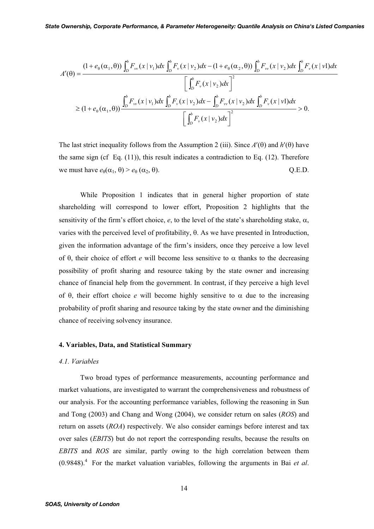$$
A'(\theta) = \frac{(1 + e_{\theta}(\alpha_1, \theta)) \int_{D}^{b} F_{\nu}(x | \nu_1) dx \int_{D}^{b} F_{\nu}(x | \nu_2) dx - (1 + e_{\theta}(\alpha_2, \theta)) \int_{D}^{b} F_{\nu}(x | \nu_2) dx \int_{D}^{b} F_{\nu}(x | \nu_1) dx}{\left[ \int_{D}^{b} F_{\nu}(x | \nu_2) dx \right]^{2}}
$$
  
 
$$
\geq (1 + e_{\theta}(\alpha_1, \theta)) \frac{\int_{D}^{b} F_{\nu}(x | \nu_1) dx \int_{D}^{b} F_{\nu}(x | \nu_2) dx - \int_{D}^{b} F_{\nu}(x | \nu_2) dx \int_{D}^{b} F_{\nu}(x | \nu_1) dx}{\left[ \int_{D}^{b} F_{\nu}(x | \nu_2) dx \right]^{2}} > 0.
$$

The last strict inequality follows from the Assumption 2 (iii). Since  $A'(\theta)$  and  $h'(\theta)$  have the same sign (cf Eq.  $(11)$ ), this result indicates a contradiction to Eq.  $(12)$ . Therefore we must have  $e_{\theta}(\alpha_1, \theta) > e_{\theta}(\alpha_2, \theta)$ . Q.E.D.

While Proposition 1 indicates that in general higher proportion of state shareholding will correspond to lower effort, Proposition 2 highlights that the sensitivity of the firm's effort choice,  $e$ , to the level of the state's shareholding stake,  $\alpha$ , varies with the perceived level of profitability,  $\theta$ . As we have presented in Introduction, given the information advantage of the firm's insiders, once they perceive a low level of  $\theta$ , their choice of effort *e* will become less sensitive to  $\alpha$  thanks to the decreasing possibility of profit sharing and resource taking by the state owner and increasing chance of financial help from the government. In contrast, if they perceive a high level of  $\theta$ , their effort choice *e* will become highly sensitive to  $\alpha$  due to the increasing probability of profit sharing and resource taking by the state owner and the diminishing chance of receiving solvency insurance.

#### **4. Variables, Data, and Statistical Summary**

#### *4.1. Variables*

Two broad types of performance measurements, accounting performance and market valuations, are investigated to warrant the comprehensiveness and robustness of our analysis. For the accounting performance variables, following the reasoning in Sun and Tong (2003) and Chang and Wong (2004), we consider return on sales (*ROS*) and return on assets (*ROA*) respectively. We also consider earnings before interest and tax over sales (*EBITS*) but do not report the corresponding results, because the results on *EBITS* and *ROS* are similar, partly owing to the high correlation between them  $(0.9848)$ .<sup>4</sup> For the market valuation variables, following the arguments in Bai *et al.*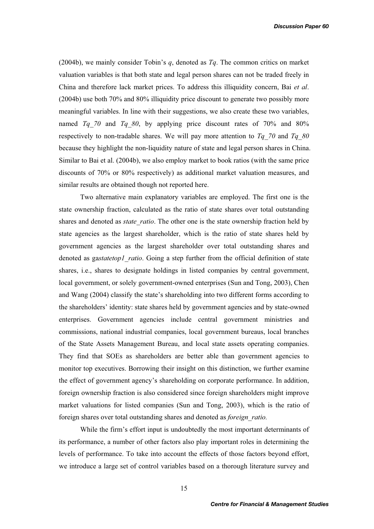(2004b), we mainly consider Tobin's *q*, denoted as *Tq*. The common critics on market valuation variables is that both state and legal person shares can not be traded freely in China and therefore lack market prices. To address this illiquidity concern, Bai *et al*. (2004b) use both 70% and 80% illiquidity price discount to generate two possibly more meaningful variables. In line with their suggestions, we also create these two variables, named *Tq 70* and *Tq 80*, by applying price discount rates of 70% and 80% respectively to non-tradable shares. We will pay more attention to *Tq\_70* and *Tq\_80* because they highlight the non-liquidity nature of state and legal person shares in China. Similar to Bai et al. (2004b), we also employ market to book ratios (with the same price discounts of 70% or 80% respectively) as additional market valuation measures, and similar results are obtained though not reported here.

Two alternative main explanatory variables are employed. The first one is the state ownership fraction, calculated as the ratio of state shares over total outstanding shares and denoted as *state ratio*. The other one is the state ownership fraction held by state agencies as the largest shareholder, which is the ratio of state shares held by government agencies as the largest shareholder over total outstanding shares and denoted as ga*statetop1\_ratio*. Going a step further from the official definition of state shares, i.e., shares to designate holdings in listed companies by central government, local government, or solely government-owned enterprises (Sun and Tong, 2003), Chen and Wang (2004) classify the state's shareholding into two different forms according to the shareholders' identity: state shares held by government agencies and by state-owned enterprises. Government agencies include central government ministries and commissions, national industrial companies, local government bureaus, local branches of the State Assets Management Bureau, and local state assets operating companies. They find that SOEs as shareholders are better able than government agencies to monitor top executives. Borrowing their insight on this distinction, we further examine the effect of government agency's shareholding on corporate performance. In addition, foreign ownership fraction is also considered since foreign shareholders might improve market valuations for listed companies (Sun and Tong, 2003), which is the ratio of foreign shares over total outstanding shares and denoted as *foreign\_ratio.*

While the firm's effort input is undoubtedly the most important determinants of its performance, a number of other factors also play important roles in determining the levels of performance. To take into account the effects of those factors beyond effort, we introduce a large set of control variables based on a thorough literature survey and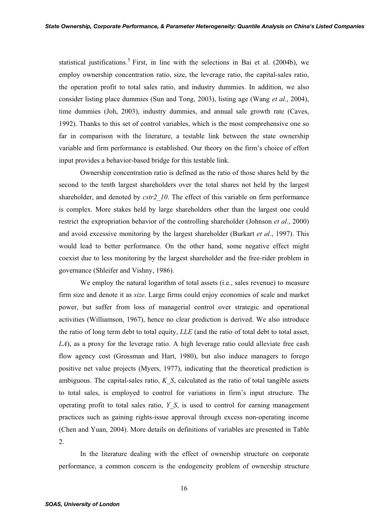statistical justifications.<sup>5</sup> First, in line with the selections in Bai et al. (2004b), we employ ownership concentration ratio, size, the leverage ratio, the capital-sales ratio, the operation profit to total sales ratio, and industry dummies. In addition, we also consider listing place dummies (Sun and Tong, 2003), listing age (Wang *et al*., 2004), time dummies (Joh, 2003), industry dummies, and annual sale growth rate (Caves, 1992). Thanks to this set of control variables, which is the most comprehensive one so far in comparison with the literature, a testable link between the state ownership variable and firm performance is established. Our theory on the firm's choice of effort input provides a behavior-based bridge for this testable link.

Ownership concentration ratio is defined as the ratio of those shares held by the second to the tenth largest shareholders over the total shares not held by the largest shareholder, and denoted by *cstr2\_10*. The effect of this variable on firm performance is complex. More stakes held by large shareholders other than the largest one could restrict the expropriation behavior of the controlling shareholder (Johnson *et al*., 2000) and avoid excessive monitoring by the largest shareholder (Burkart *et al*., 1997). This would lead to better performance. On the other hand, some negative effect might coexist due to less monitoring by the largest shareholder and the free-rider problem in governance (Shleifer and Vishny, 1986).

We employ the natural logarithm of total assets (i.e., sales revenue) to measure firm size and denote it as *size*. Large firms could enjoy economies of scale and market power, but suffer from loss of managerial control over strategic and operational activities (Williamson, 1967), hence no clear prediction is derived. We also introduce the ratio of long term debt to total equity, *LLE* (and the ratio of total debt to total asset, *LA*), as a proxy for the leverage ratio. A high leverage ratio could alleviate free cash flow agency cost (Grossman and Hart, 1980), but also induce managers to forego positive net value projects (Myers, 1977), indicating that the theoretical prediction is ambiguous. The capital-sales ratio, *K\_S*, calculated as the ratio of total tangible assets to total sales, is employed to control for variations in firm's input structure. The operating profit to total sales ratio, *Y\_S*, is used to control for earning management practices such as gaining rights-issue approval through excess non-operating income (Chen and Yuan, 2004). More details on definitions of variables are presented in Table 2.

In the literature dealing with the effect of ownership structure on corporate performance, a common concern is the endogeneity problem of ownership structure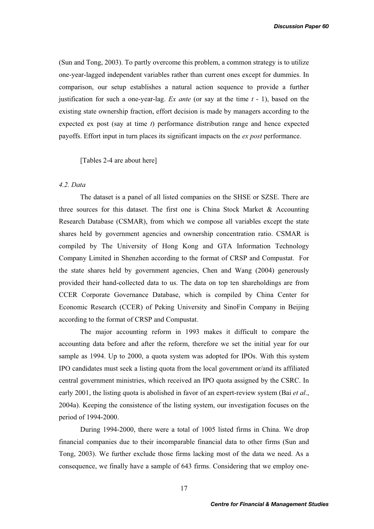(Sun and Tong, 2003). To partly overcome this problem, a common strategy is to utilize one-year-lagged independent variables rather than current ones except for dummies. In comparison, our setup establishes a natural action sequence to provide a further justification for such a one-year-lag. *Ex ante* (or say at the time *t* - 1), based on the existing state ownership fraction, effort decision is made by managers according to the expected ex post (say at time *t*) performance distribution range and hence expected payoffs. Effort input in turn places its significant impacts on the *ex post* performance.

[Tables 2-4 are about here]

## *4.2. Data*

The dataset is a panel of all listed companies on the SHSE or SZSE. There are three sources for this dataset. The first one is China Stock Market  $\&$  Accounting Research Database (CSMAR), from which we compose all variables except the state shares held by government agencies and ownership concentration ratio. CSMAR is compiled by The University of Hong Kong and GTA Information Technology Company Limited in Shenzhen according to the format of CRSP and Compustat. For the state shares held by government agencies, Chen and Wang (2004) generously provided their hand-collected data to us. The data on top ten shareholdings are from CCER Corporate Governance Database, which is compiled by China Center for Economic Research (CCER) of Peking University and SinoFin Company in Beijing according to the format of CRSP and Compustat.

The major accounting reform in 1993 makes it difficult to compare the accounting data before and after the reform, therefore we set the initial year for our sample as 1994. Up to 2000, a quota system was adopted for IPOs. With this system IPO candidates must seek a listing quota from the local government or/and its affiliated central government ministries, which received an IPO quota assigned by the CSRC. In early 2001, the listing quota is abolished in favor of an expert-review system (Bai *et al*., 2004a). Keeping the consistence of the listing system, our investigation focuses on the period of 1994-2000.

During 1994-2000, there were a total of 1005 listed firms in China. We drop financial companies due to their incomparable financial data to other firms (Sun and Tong, 2003). We further exclude those firms lacking most of the data we need. As a consequence, we finally have a sample of 643 firms. Considering that we employ one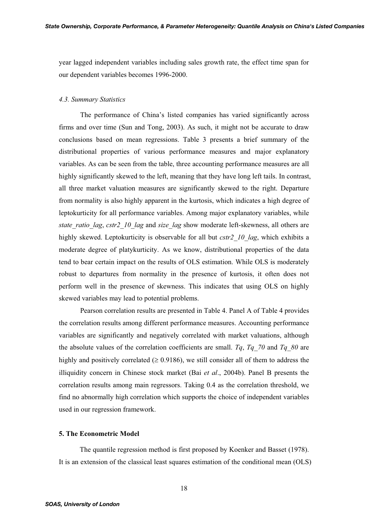year lagged independent variables including sales growth rate, the effect time span for our dependent variables becomes 1996-2000.

## *4.3. Summary Statistics*

The performance of China's listed companies has varied significantly across firms and over time (Sun and Tong, 2003). As such, it might not be accurate to draw conclusions based on mean regressions. Table 3 presents a brief summary of the distributional properties of various performance measures and major explanatory variables. As can be seen from the table, three accounting performance measures are all highly significantly skewed to the left, meaning that they have long left tails. In contrast, all three market valuation measures are significantly skewed to the right. Departure from normality is also highly apparent in the kurtosis, which indicates a high degree of leptokurticity for all performance variables. Among major explanatory variables, while *state\_ratio\_lag*, *cstr2\_10\_lag* and *size\_lag* show moderate left-skewness, all others are highly skewed. Leptokurticity is observable for all but *cstr2* 10 lag, which exhibits a moderate degree of platykurticity. As we know, distributional properties of the data tend to bear certain impact on the results of OLS estimation. While OLS is moderately robust to departures from normality in the presence of kurtosis, it often does not perform well in the presence of skewness. This indicates that using OLS on highly skewed variables may lead to potential problems.

Pearson correlation results are presented in Table 4. Panel A of Table 4 provides the correlation results among different performance measures. Accounting performance variables are significantly and negatively correlated with market valuations, although the absolute values of the correlation coefficients are small. *Tq*, *Tq\_70* and *Tq\_80* are highly and positively correlated ( $\geq 0.9186$ ), we still consider all of them to address the illiquidity concern in Chinese stock market (Bai *et al*., 2004b). Panel B presents the correlation results among main regressors. Taking 0.4 as the correlation threshold, we find no abnormally high correlation which supports the choice of independent variables used in our regression framework.

### **5. The Econometric Model**

The quantile regression method is first proposed by Koenker and Basset (1978). It is an extension of the classical least squares estimation of the conditional mean (OLS)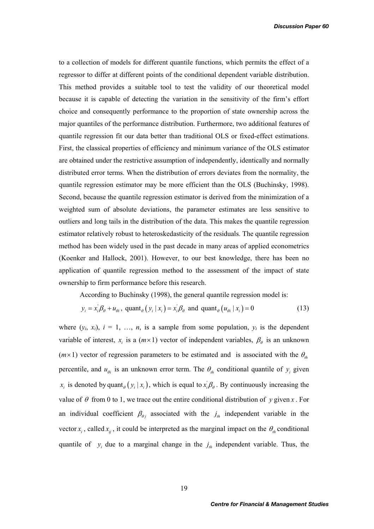to a collection of models for different quantile functions, which permits the effect of a regressor to differ at different points of the conditional dependent variable distribution. This method provides a suitable tool to test the validity of our theoretical model because it is capable of detecting the variation in the sensitivity of the firm's effort choice and consequently performance to the proportion of state ownership across the major quantiles of the performance distribution. Furthermore, two additional features of quantile regression fit our data better than traditional OLS or fixed-effect estimations. First, the classical properties of efficiency and minimum variance of the OLS estimator are obtained under the restrictive assumption of independently, identically and normally distributed error terms. When the distribution of errors deviates from the normality, the quantile regression estimator may be more efficient than the OLS (Buchinsky, 1998). Second, because the quantile regression estimator is derived from the minimization of a weighted sum of absolute deviations, the parameter estimates are less sensitive to outliers and long tails in the distribution of the data. This makes the quantile regression estimator relatively robust to heteroskedasticity of the residuals. The quantile regression method has been widely used in the past decade in many areas of applied econometrics (Koenker and Hallock, 2001). However, to our best knowledge, there has been no application of quantile regression method to the assessment of the impact of state ownership to firm performance before this research.

According to Buchinsky (1998), the general quantile regression model is:

$$
y_i = x_i' \beta_\theta + u_{\theta i}, \text{ quant}_{\theta} (y_i | x_i) = x_i' \beta_\theta \text{ and quant}_{\theta} (u_{\theta i} | x_i) = 0 \tag{13}
$$

where  $(y_i, x_i)$ ,  $i = 1, \ldots, n$ , is a sample from some population,  $y_i$  is the dependent variable of interest,  $x_i$  is a  $(m \times 1)$  vector of independent variables,  $\beta_\theta$  is an unknown  $(m \times 1)$  vector of regression parameters to be estimated and is associated with the  $\theta_{th}$ percentile, and  $u_{\theta i}$  is an unknown error term. The  $\theta_{i}$  conditional quantile of  $y_i$  given  $x_i$  is denoted by quant<sub> $\theta$ </sub>  $(y_i | x_i)$ , which is equal to  $x_i \beta_{\theta}$ . By continuously increasing the value of  $\theta$  from 0 to 1, we trace out the entire conditional distribution of *y* given *x*. For an individual coefficient  $\beta_{\theta i}$  associated with the  $j_{th}$  independent variable in the vector  $x_i$ , called  $x_{ii}$ , it could be interpreted as the marginal impact on the  $\theta_{th}$  conditional quantile of  $y_i$  due to a marginal change in the  $j_{th}$  independent variable. Thus, the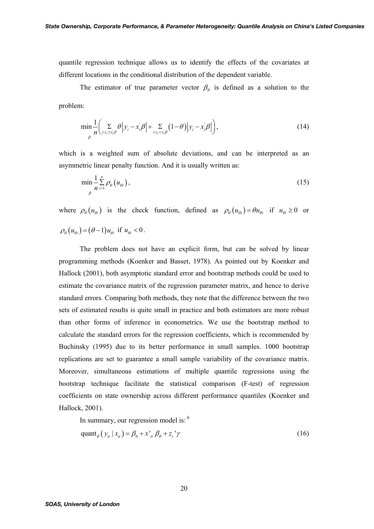quantile regression technique allows us to identify the effects of the covariates at different locations in the conditional distribution of the dependent variable.

The estimator of true parameter vector  $\beta_{\theta}$  is defined as a solution to the problem:

$$
\min_{\beta} \frac{1}{n} \Biggl( \sum_{i: y_i \ge x_i/\beta} \theta \Big| y_i - x_i/\beta \Big| + \sum_{i: y_i < x_i/\beta} (1-\theta) \Big| y_i - x_i/\beta \Big| \Biggr),\tag{14}
$$

which is a weighted sum of absolute deviations, and can be interpreted as an asymmetric linear penalty function. And it is usually written as:

$$
\min_{\beta} \frac{1}{n} \sum_{i=1}^{n} \rho_{\theta}(u_{\theta i}),\tag{15}
$$

where  $\rho_{\theta}(u_{\theta i})$  is the check function, defined as  $\rho_{\theta}(u_{\theta i}) = \theta u_{\theta i}$  if  $u_{\theta i} \ge 0$  or  $\rho_a(u_{\alpha}) = (\theta - 1)u_{\alpha}$  if  $u_{\alpha} < 0$ .

The problem does not have an explicit form, but can be solved by linear programming methods (Koenker and Basset, 1978). As pointed out by Koenker and Hallock (2001), both asymptotic standard error and bootstrap methods could be used to estimate the covariance matrix of the regression parameter matrix, and hence to derive standard errors. Comparing both methods, they note that the difference between the two sets of estimated results is quite small in practice and both estimators are more robust than other forms of inference in econometrics. We use the bootstrap method to calculate the standard errors for the regression coefficients, which is recommended by Buchinsky (1995) due to its better performance in small samples. 1000 bootstrap replications are set to guarantee a small sample variability of the covariance matrix. Moreover, simultaneous estimations of multiple quantile regressions using the bootstrap technique facilitate the statistical comparison (F-test) of regression coefficients on state ownership across different performance quantiles (Koenker and Hallock, 2001).

In summary, our regression model is: <sup>6</sup>

$$
\text{quant}_{\theta} \left( y_{ii} \mid x_{ii} \right) = \beta_0 + x_{ii}^{\prime} \beta_{\theta} + z_i^{\prime} \gamma \tag{16}
$$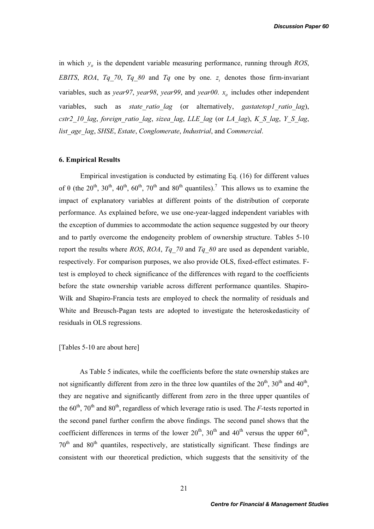in which  $y_{ii}$  is the dependent variable measuring performance, running through *ROS*, *EBITS*, *ROA*, *Tq\_70*, *Tq\_80* and *Tq* one by one.  $z<sub>t</sub>$  denotes those firm-invariant variables, such as *year97*, *year98*, *year99*, and *year00*.  $x_{it}$  includes other independent variables, such as *state ratio lag* (or alternatively, *gastatetop1 ratio lag*), *cstr2\_10\_lag*, *foreign\_ratio\_lag*, *sizea\_lag*, *LLE\_lag* (or *LA\_lag*), *K\_S\_lag*, *Y\_S\_lag*, *list\_age\_lag*, *SHSE*, *Estate*, *Conglomerate*, *Industrial*, and *Commercial*.

### **6. Empirical Results**

Empirical investigation is conducted by estimating Eq. (16) for different values of  $\theta$  (the 20<sup>th</sup>, 30<sup>th</sup>, 40<sup>th</sup>, 60<sup>th</sup>, 70<sup>th</sup> and 80<sup>th</sup> quantiles).<sup>7</sup> This allows us to examine the impact of explanatory variables at different points of the distribution of corporate performance. As explained before, we use one-year-lagged independent variables with the exception of dummies to accommodate the action sequence suggested by our theory and to partly overcome the endogeneity problem of ownership structure. Tables 5-10 report the results where *ROS*, *ROA*, *Tq\_70* and *Tq\_80* are used as dependent variable, respectively. For comparison purposes, we also provide OLS, fixed-effect estimates. Ftest is employed to check significance of the differences with regard to the coefficients before the state ownership variable across different performance quantiles. Shapiro-Wilk and Shapiro-Francia tests are employed to check the normality of residuals and White and Breusch-Pagan tests are adopted to investigate the heteroskedasticity of residuals in OLS regressions.

[Tables 5-10 are about here]

As Table 5 indicates, while the coefficients before the state ownership stakes are not significantly different from zero in the three low quantiles of the  $20^{th}$ ,  $30^{th}$  and  $40^{th}$ , they are negative and significantly different from zero in the three upper quantiles of the  $60^{th}$ ,  $70^{th}$  and  $80^{th}$ , regardless of which leverage ratio is used. The *F*-tests reported in the second panel further confirm the above findings. The second panel shows that the coefficient differences in terms of the lower  $20^{th}$ ,  $30^{th}$  and  $40^{th}$  versus the upper  $60^{th}$ ,  $70<sup>th</sup>$  and  $80<sup>th</sup>$  quantiles, respectively, are statistically significant. These findings are consistent with our theoretical prediction, which suggests that the sensitivity of the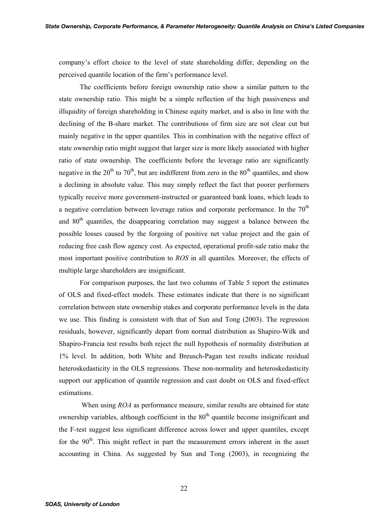company's effort choice to the level of state shareholding differ, depending on the perceived quantile location of the firm's performance level.

The coefficients before foreign ownership ratio show a similar pattern to the state ownership ratio. This might be a simple reflection of the high passiveness and illiquidity of foreign shareholding in Chinese equity market, and is also in line with the declining of the B-share market. The contributions of firm size are not clear cut but mainly negative in the upper quantiles. This in combination with the negative effect of state ownership ratio might suggest that larger size is more likely associated with higher ratio of state ownership. The coefficients before the leverage ratio are significantly negative in the  $20^{th}$  to  $70^{th}$ , but are indifferent from zero in the  $80^{th}$  quantiles, and show a declining in absolute value. This may simply reflect the fact that poorer performers typically receive more government-instructed or guaranteed bank loans, which leads to a negative correlation between leverage ratios and corporate performance. In the  $70<sup>th</sup>$ and  $80<sup>th</sup>$  quantiles, the disappearing correlation may suggest a balance between the possible losses caused by the forgoing of positive net value project and the gain of reducing free cash flow agency cost. As expected, operational profit-sale ratio make the most important positive contribution to *ROS* in all quantiles. Moreover, the effects of multiple large shareholders are insignificant.

For comparison purposes, the last two columns of Table 5 report the estimates of OLS and fixed-effect models. These estimates indicate that there is no significant correlation between state ownership stakes and corporate performance levels in the data we use. This finding is consistent with that of Sun and Tong (2003). The regression residuals, however, significantly depart from normal distribution as Shapiro-Wilk and Shapiro-Francia test results both reject the null hypothesis of normality distribution at 1% level. In addition, both White and Breusch-Pagan test results indicate residual heteroskedasticity in the OLS regressions. These non-normality and heteroskedasticity support our application of quantile regression and cast doubt on OLS and fixed-effect estimations.

 When using *ROA* as performance measure, similar results are obtained for state ownership variables, although coefficient in the  $80<sup>th</sup>$  quantile become insignificant and the F-test suggest less significant difference across lower and upper quantiles, except for the  $90<sup>th</sup>$ . This might reflect in part the measurement errors inherent in the asset accounting in China. As suggested by Sun and Tong (2003), in recognizing the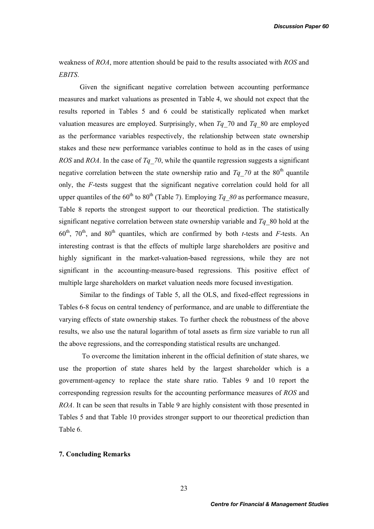weakness of *ROA*, more attention should be paid to the results associated with *ROS* and *EBITS*.

Given the significant negative correlation between accounting performance measures and market valuations as presented in Table 4, we should not expect that the results reported in Tables 5 and 6 could be statistically replicated when market valuation measures are employed. Surprisingly, when  $Tq$  70 and  $Tq$  80 are employed as the performance variables respectively, the relationship between state ownership stakes and these new performance variables continue to hold as in the cases of using *ROS* and *ROA*. In the case of *Tq\_70*, while the quantile regression suggests a significant negative correlation between the state ownership ratio and  $Tq$  70 at the 80<sup>th</sup> quantile only, the *F*-tests suggest that the significant negative correlation could hold for all upper quantiles of the  $60^{th}$  to  $80^{th}$  (Table 7). Employing *Tq 80* as performance measure, Table 8 reports the strongest support to our theoretical prediction. The statistically significant negative correlation between state ownership variable and *Tq*\_80 hold at the  $60<sup>th</sup>$ ,  $70<sup>th</sup>$ , and  $80<sup>th</sup>$  quantiles, which are confirmed by both *t*-tests and *F*-tests. An interesting contrast is that the effects of multiple large shareholders are positive and highly significant in the market-valuation-based regressions, while they are not significant in the accounting-measure-based regressions. This positive effect of multiple large shareholders on market valuation needs more focused investigation.

Similar to the findings of Table 5, all the OLS, and fixed-effect regressions in Tables 6-8 focus on central tendency of performance, and are unable to differentiate the varying effects of state ownership stakes. To further check the robustness of the above results, we also use the natural logarithm of total assets as firm size variable to run all the above regressions, and the corresponding statistical results are unchanged.

 To overcome the limitation inherent in the official definition of state shares, we use the proportion of state shares held by the largest shareholder which is a government-agency to replace the state share ratio. Tables 9 and 10 report the corresponding regression results for the accounting performance measures of *ROS* and *ROA*. It can be seen that results in Table 9 are highly consistent with those presented in Tables 5 and that Table 10 provides stronger support to our theoretical prediction than Table 6.

## **7. Concluding Remarks**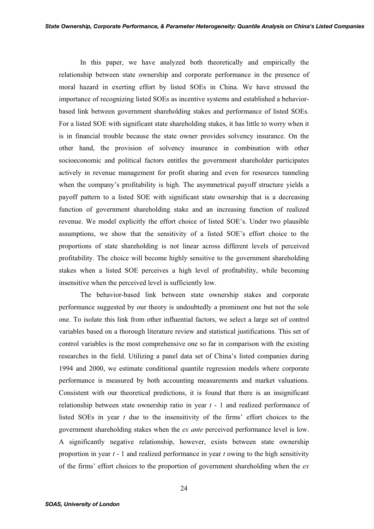In this paper, we have analyzed both theoretically and empirically the relationship between state ownership and corporate performance in the presence of moral hazard in exerting effort by listed SOEs in China. We have stressed the importance of recognizing listed SOEs as incentive systems and established a behaviorbased link between government shareholding stakes and performance of listed SOEs. For a listed SOE with significant state shareholding stakes, it has little to worry when it is in financial trouble because the state owner provides solvency insurance. On the other hand, the provision of solvency insurance in combination with other socioeconomic and political factors entitles the government shareholder participates actively in revenue management for profit sharing and even for resources tunneling when the company's profitability is high. The asymmetrical payoff structure yields a payoff pattern to a listed SOE with significant state ownership that is a decreasing function of government shareholding stake and an increasing function of realized revenue. We model explicitly the effort choice of listed SOE's. Under two plausible assumptions, we show that the sensitivity of a listed SOE's effort choice to the proportions of state shareholding is not linear across different levels of perceived profitability. The choice will become highly sensitive to the government shareholding stakes when a listed SOE perceives a high level of profitability, while becoming insensitive when the perceived level is sufficiently low.

The behavior-based link between state ownership stakes and corporate performance suggested by our theory is undoubtedly a prominent one but not the sole one. To isolate this link from other influential factors, we select a large set of control variables based on a thorough literature review and statistical justifications. This set of control variables is the most comprehensive one so far in comparison with the existing researches in the field. Utilizing a panel data set of China's listed companies during 1994 and 2000, we estimate conditional quantile regression models where corporate performance is measured by both accounting measurements and market valuations. Consistent with our theoretical predictions, it is found that there is an insignificant relationship between state ownership ratio in year *t* - 1 and realized performance of listed SOEs in year *t* due to the insensitivity of the firms' effort choices to the government shareholding stakes when the *ex ante* perceived performance level is low. A significantly negative relationship, however, exists between state ownership proportion in year *t* - 1 and realized performance in year *t* owing to the high sensitivity of the firms' effort choices to the proportion of government shareholding when the *ex*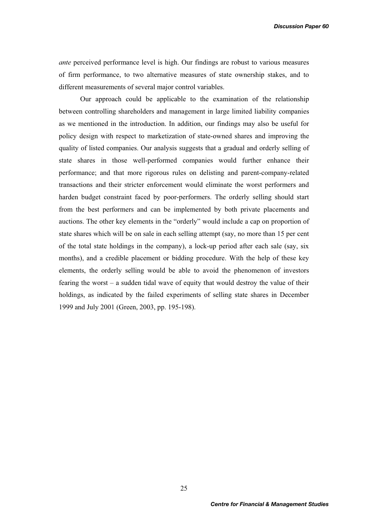*ante* perceived performance level is high. Our findings are robust to various measures of firm performance, to two alternative measures of state ownership stakes, and to different measurements of several major control variables.

Our approach could be applicable to the examination of the relationship between controlling shareholders and management in large limited liability companies as we mentioned in the introduction. In addition, our findings may also be useful for policy design with respect to marketization of state-owned shares and improving the quality of listed companies. Our analysis suggests that a gradual and orderly selling of state shares in those well-performed companies would further enhance their performance; and that more rigorous rules on delisting and parent-company-related transactions and their stricter enforcement would eliminate the worst performers and harden budget constraint faced by poor-performers. The orderly selling should start from the best performers and can be implemented by both private placements and auctions. The other key elements in the "orderly" would include a cap on proportion of state shares which will be on sale in each selling attempt (say, no more than 15 per cent of the total state holdings in the company), a lock-up period after each sale (say, six months), and a credible placement or bidding procedure. With the help of these key elements, the orderly selling would be able to avoid the phenomenon of investors fearing the worst – a sudden tidal wave of equity that would destroy the value of their holdings, as indicated by the failed experiments of selling state shares in December 1999 and July 2001 (Green, 2003, pp. 195-198).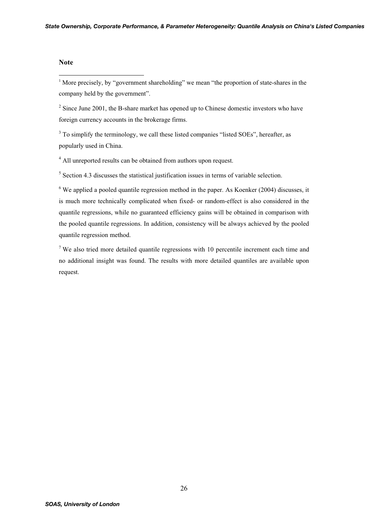### **Note**

 $\overline{a}$ 

<sup>1</sup> More precisely, by "government shareholding" we mean "the proportion of state-shares in the company held by the government".

 $2^2$  Since June 2001, the B-share market has opened up to Chinese domestic investors who have foreign currency accounts in the brokerage firms.

<sup>3</sup> To simplify the terminology, we call these listed companies "listed SOEs", hereafter, as popularly used in China.

<sup>4</sup> All unreported results can be obtained from authors upon request.

<sup>5</sup> Section 4.3 discusses the statistical justification issues in terms of variable selection.

 $6$  We applied a pooled quantile regression method in the paper. As Koenker (2004) discusses, it is much more technically complicated when fixed- or random-effect is also considered in the quantile regressions, while no guaranteed efficiency gains will be obtained in comparison with the pooled quantile regressions. In addition, consistency will be always achieved by the pooled quantile regression method.

<sup>7</sup> We also tried more detailed quantile regressions with 10 percentile increment each time and no additional insight was found. The results with more detailed quantiles are available upon request.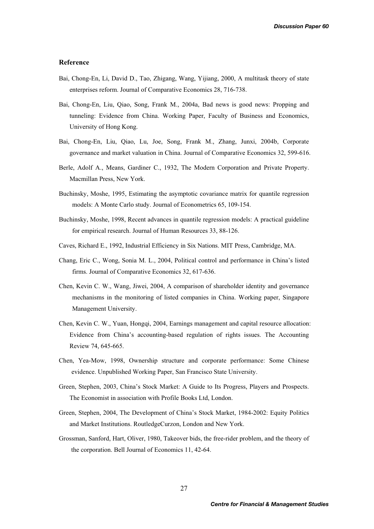#### **Reference**

- Bai, Chong-En, Li, David D., Tao, Zhigang, Wang, Yijiang, 2000, A multitask theory of state enterprises reform. Journal of Comparative Economics 28, 716-738.
- Bai, Chong-En, Liu, Qiao, Song, Frank M., 2004a, Bad news is good news: Propping and tunneling: Evidence from China. Working Paper, Faculty of Business and Economics, University of Hong Kong.
- Bai, Chong-En, Liu, Qiao, Lu, Joe, Song, Frank M., Zhang, Junxi, 2004b, Corporate governance and market valuation in China. Journal of Comparative Economics 32, 599-616.
- Berle, Adolf A., Means, Gardiner C., 1932, The Modern Corporation and Private Property. Macmillan Press, New York.
- Buchinsky, Moshe, 1995, Estimating the asymptotic covariance matrix for quantile regression models: A Monte Carlo study. Journal of Econometrics 65, 109-154.
- Buchinsky, Moshe, 1998, Recent advances in quantile regression models: A practical guideline for empirical research. Journal of Human Resources 33, 88-126.
- Caves, Richard E., 1992, Industrial Efficiency in Six Nations. MIT Press, Cambridge, MA.
- Chang, Eric C., Wong, Sonia M. L., 2004, Political control and performance in China's listed firms. Journal of Comparative Economics 32, 617-636.
- Chen, Kevin C. W., Wang, Jiwei, 2004, A comparison of shareholder identity and governance mechanisms in the monitoring of listed companies in China. Working paper, Singapore Management University.
- Chen, Kevin C. W., Yuan, Hongqi, 2004, Earnings management and capital resource allocation: Evidence from China's accounting-based regulation of rights issues. The Accounting Review 74, 645-665.
- Chen, Yea-Mow, 1998, Ownership structure and corporate performance: Some Chinese evidence. Unpublished Working Paper, San Francisco State University.
- Green, Stephen, 2003, China's Stock Market: A Guide to Its Progress, Players and Prospects. The Economist in association with Profile Books Ltd, London.
- Green, Stephen, 2004, The Development of China's Stock Market, 1984-2002: Equity Politics and Market Institutions. RoutledgeCurzon, London and New York.
- Grossman, Sanford, Hart, Oliver, 1980, Takeover bids, the free-rider problem, and the theory of the corporation. Bell Journal of Economics 11, 42-64.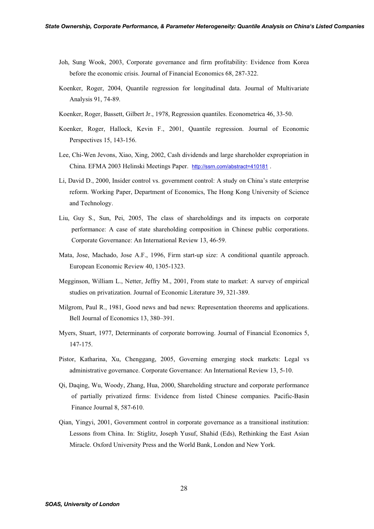- Joh, Sung Wook, 2003, Corporate governance and firm profitability: Evidence from Korea before the economic crisis. Journal of Financial Economics 68, 287-322.
- Koenker, Roger, 2004, Quantile regression for longitudinal data. Journal of Multivariate Analysis 91, 74-89.
- Koenker, Roger, Bassett, Gilbert Jr., 1978, Regression quantiles. Econometrica 46, 33-50.
- Koenker, Roger, Hallock, Kevin F., 2001, Quantile regression. Journal of Economic Perspectives 15, 143-156.
- Lee, Chi-Wen Jevons, Xiao, Xing, 2002, Cash dividends and large shareholder expropriation in China. EFMA 2003 Helinski Meetings Paper. http://ssrn.com/abstract=410181 .
- Li, David D., 2000, Insider control vs. government control: A study on China's state enterprise reform. Working Paper, Department of Economics, The Hong Kong University of Science and Technology.
- Liu, Guy S., Sun, Pei, 2005, The class of shareholdings and its impacts on corporate performance: A case of state shareholding composition in Chinese public corporations. Corporate Governance: An International Review 13, 46-59.
- Mata, Jose, Machado, Jose A.F., 1996, Firm start-up size: A conditional quantile approach. European Economic Review 40, 1305-1323.
- Megginson, William L., Netter, Jeffry M., 2001, From state to market: A survey of empirical studies on privatization. Journal of Economic Literature 39, 321-389.
- Milgrom, Paul R., 1981, Good news and bad news: Representation theorems and applications. Bell Journal of Economics 13, 380–391.
- Myers, Stuart, 1977, Determinants of corporate borrowing. Journal of Financial Economics 5, 147-175.
- Pistor, Katharina, Xu, Chenggang, 2005, Governing emerging stock markets: Legal vs administrative governance. Corporate Governance: An International Review 13, 5-10.
- Qi, Daqing, Wu, Woody, Zhang, Hua, 2000, Shareholding structure and corporate performance of partially privatized firms: Evidence from listed Chinese companies. Pacific-Basin Finance Journal 8, 587-610.
- Qian, Yingyi, 2001, Government control in corporate governance as a transitional institution: Lessons from China. In: Stiglitz, Joseph Yusuf, Shahid (Eds), Rethinking the East Asian Miracle. Oxford University Press and the World Bank, London and New York.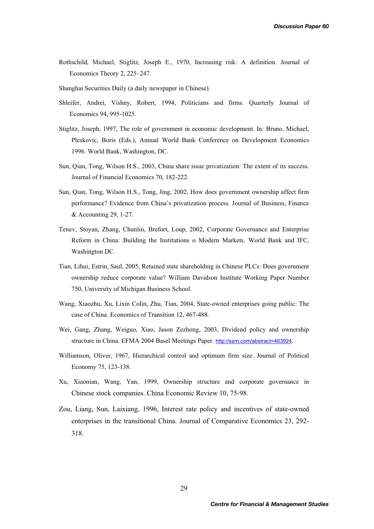- Rothschild, Michael, Stiglitz, Joseph E., 1970, Increasing risk: A definition. Journal of Economics Theory 2, 225–247.
- Shanghai Securities Daily (a daily newspaper in Chinese).
- Shleifer, Andrei, Vishny, Robert, 1994, Politicians and firms. Quarterly Journal of Economics 94, 995-1025.
- Stiglitz, Joseph, 1997, The role of government in economic development. In: Bruno, Michael, Pleskovic, Boris (Eds.), Annual World Bank Conference on Development Economics 1996. World Bank, Washington, DC.
- Sun, Qian, Tong, Wilson H.S., 2003, China share issue privatization: The extent of its success. Journal of Financial Economics 70, 182-222.
- Sun, Qian, Tong, Wilson H.S., Tong, Jing, 2002, How does government ownership affect firm performance? Evidence from China's privatization process. Journal of Business, Finance & Accounting 29, 1-27.
- Tenev, Stoyan, Zhang, Chunlin, Brefort, Loup, 2002, Corporate Governance and Enterprise Reform in China: Building the Institutions o Modern Markets. World Bank and IFC, Washington DC.
- Tian, Lihui, Estrin, Saul, 2005, Retained state shareholding in Chinese PLCs: Does government ownership reduce corporate value? William Davidson Institute Working Paper Number 750, University of Michigan Business School.
- Wang, Xiaozhu, Xu, Lixin Colin, Zhu, Tian, 2004, State-owned enterprises going public: The case of China. Economics of Transition 12, 467-488.
- Wei, Gang, Zhang, Weiguo, Xiao, Jason Zezhong, 2003, Dividend policy and ownership structure in China. EFMA 2004 Basel Meetings Paper. http://ssrn.com/abstract=463924.
- Williamson, Oliver, 1967, Hierarchical control and optimum firm size. Journal of Political Economy 75, 123-138.
- Xu, Xiaonian, Wang, Yan, 1999, Ownership structure and corporate governance in Chinese stock companies. China Economic Review 10, 75-98.
- Zou, Liang, Sun, Laixiang, 1996, Interest rate policy and incentives of state-owned enterprises in the transitional China. Journal of Comparative Economics 23, 292- 318.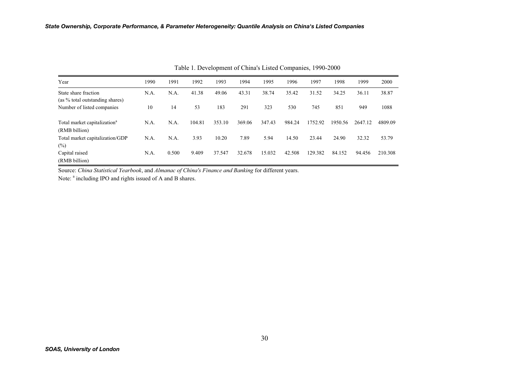| Year                                                      | 1990 | 1991  | 1992   | 1993   | 1994   | 1995   | 1996   | 1997    | 1998    | 1999    | 2000    |
|-----------------------------------------------------------|------|-------|--------|--------|--------|--------|--------|---------|---------|---------|---------|
| State share fraction<br>(as % total outstanding shares)   | N.A. | N.A.  | 41.38  | 49.06  | 43.31  | 38.74  | 35.42  | 31.52   | 34.25   | 36.11   | 38.87   |
| Number of listed companies                                | 10   | 14    | 53     | 183    | 291    | 323    | 530    | 745     | 851     | 949     | 1088    |
| Total market capitalization <sup>a</sup><br>(RMB billion) | N.A. | N.A.  | 104.81 | 353.10 | 369.06 | 347.43 | 984.24 | 1752.92 | 1950.56 | 2647.12 | 4809.09 |
| Total market capitalization/GDP                           | N.A. | N.A.  | 3.93   | 10.20  | 7.89   | 5.94   | 14.50  | 23.44   | 24.90   | 32.32   | 53.79   |
| $(\%)$                                                    |      |       |        |        |        |        |        |         |         |         |         |
| Capital raised                                            | N.A. | 0.500 | 9.409  | 37.547 | 32.678 | 15.032 | 42.508 | 129.382 | 84.152  | 94.456  | 210.308 |
| (RMB billion)                                             |      |       |        |        |        |        |        |         |         |         |         |

Table 1. Development of China's Listed Companies, 1990-2000

Source: *China Statistical Yearbook*, and *Almanac of China's Finance and Banking* for different years.

Note:  $a$  including IPO and rights issued of A and B shares.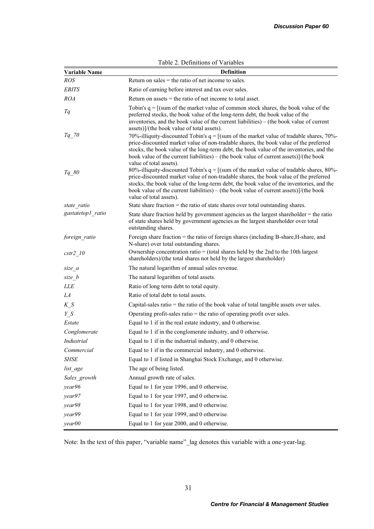| <b>Variable Name</b> | $1$ and $2$ . Definitions of variance<br><b>Definition</b>                                                                                                                                                                                                                                                                                                                                                                         |
|----------------------|------------------------------------------------------------------------------------------------------------------------------------------------------------------------------------------------------------------------------------------------------------------------------------------------------------------------------------------------------------------------------------------------------------------------------------|
| <b>ROS</b>           | Return on sales $=$ the ratio of net income to sales.                                                                                                                                                                                                                                                                                                                                                                              |
| <b>EBITS</b>         | Ratio of earning before interest and tax over sales.                                                                                                                                                                                                                                                                                                                                                                               |
| <b>ROA</b>           | Return on assets $=$ the ratio of net income to total asset.                                                                                                                                                                                                                                                                                                                                                                       |
| Tq                   | Tobin's $q = [(sum of the market value of common stock shares, the book value of the$<br>preferred stocks, the book value of the long-term debt, the book value of the<br>inventories, and the book value of the current liabilities) – (the book value of current                                                                                                                                                                 |
| $Tq$ 70              | assets)]/(the book value of total assets).<br>70%-illiquity-discounted Tobin's $q = [(sum of the market value of tradable shares, 70%]$<br>price-discounted market value of non-tradable shares, the book value of the preferred<br>stocks, the book value of the long-term debt, the book value of the inventories, and the<br>book value of the current liabilities) – (the book value of current assets) $]/(\text{the book})$  |
| $Tq\_80$             | value of total assets).<br>80%-illiquity-discounted Tobin's $q = [(sum of the market value of tradable shares, 80%]$<br>price-discounted market value of non-tradable shares, the book value of the preferred<br>stocks, the book value of the long-term debt, the book value of the inventories, and the<br>book value of the current liabilities) – (the book value of current assets) $]/$ (the book<br>value of total assets). |
| state ratio          | State share fraction $=$ the ratio of state shares over total outstanding shares.                                                                                                                                                                                                                                                                                                                                                  |
| gastatetop1 ratio    | State share fraction held by government agencies as the largest shareholder $=$ the ratio<br>of state shares held by government agencies as the largest shareholder over total<br>outstanding shares.                                                                                                                                                                                                                              |
| foreign ratio        | Foreign share fraction = the ratio of foreign shares (including B-share, H-share, and<br>N-share) over total outstanding shares.                                                                                                                                                                                                                                                                                                   |
| cstr2 10             | Ownership concentration ratio = (total shares held by the 2nd to the 10th largest<br>shareholders)/(the total shares not held by the largest shareholder)                                                                                                                                                                                                                                                                          |
| size a               | The natural logarithm of annual sales revenue.                                                                                                                                                                                                                                                                                                                                                                                     |
| size b               | The natural logarithm of total assets.                                                                                                                                                                                                                                                                                                                                                                                             |
| LLE                  | Ratio of long term debt to total equity.                                                                                                                                                                                                                                                                                                                                                                                           |
| LA                   | Ratio of total debt to total assets.                                                                                                                                                                                                                                                                                                                                                                                               |
| $K_S$                | Capital-sales ratio $=$ the ratio of the book value of total tangible assets over sales.                                                                                                                                                                                                                                                                                                                                           |
| $Y_S$                | Operating profit-sales ratio $=$ the ratio of operating profit over sales.                                                                                                                                                                                                                                                                                                                                                         |
| Estate               | Equal to 1 if in the real estate industry, and 0 otherwise.                                                                                                                                                                                                                                                                                                                                                                        |
| Conglomerate         | Equal to 1 if in the conglomerate industry, and 0 otherwise.                                                                                                                                                                                                                                                                                                                                                                       |
| <b>Industrial</b>    | Equal to 1 if in the industrial industry, and 0 otherwise.                                                                                                                                                                                                                                                                                                                                                                         |
| Commercial           | Equal to 1 if in the commercial industry, and 0 otherwise.                                                                                                                                                                                                                                                                                                                                                                         |
| <b>SHSE</b>          | Equal to 1 if listed in Shanghai Stock Exchange, and 0 otherwise.                                                                                                                                                                                                                                                                                                                                                                  |
| list_age             | The age of being listed.                                                                                                                                                                                                                                                                                                                                                                                                           |
| Sales_growth         | Annual growth rate of sales.                                                                                                                                                                                                                                                                                                                                                                                                       |
| year96               | Equal to 1 for year 1996, and 0 otherwise.                                                                                                                                                                                                                                                                                                                                                                                         |
| year97               | Equal to 1 for year 1997, and 0 otherwise.                                                                                                                                                                                                                                                                                                                                                                                         |
| year98               | Equal to 1 for year 1998, and 0 otherwise.                                                                                                                                                                                                                                                                                                                                                                                         |
| year99               | Equal to 1 for year 1999, and 0 otherwise.                                                                                                                                                                                                                                                                                                                                                                                         |
| year00               | Equal to 1 for year 2000, and 0 otherwise.                                                                                                                                                                                                                                                                                                                                                                                         |

Table 2. Definitions of Variables

Note: In the text of this paper, "variable name"\_lag denotes this variable with a one-year-lag.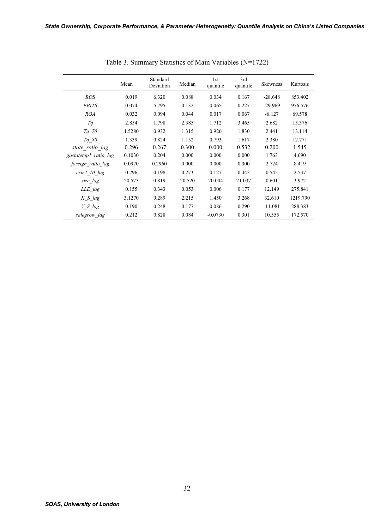|                       | Mean   | Standard<br>Deviation | Median | 1st<br>quantile | 3rd<br>quantile | <b>Skewness</b> | Kurtosis |
|-----------------------|--------|-----------------------|--------|-----------------|-----------------|-----------------|----------|
| <b>ROS</b>            | 0.019  | 6.320                 | 0.088  | 0.034           | 0.167           | $-28.648$       | 853.402  |
| <b>EBITS</b>          | 0.074  | 5.795                 | 0.132  | 0.065           | 0.227           | $-29.969$       | 976.576  |
| <i>ROA</i>            | 0.032  | 0.094                 | 0.044  | 0.017           | 0.067           | $-6.127$        | 69.578   |
| Tq                    | 2.854  | 1.798                 | 2.385  | 1.712           | 3.465           | 2.682           | 15.376   |
| $Tq$ 70               | 1.5280 | 0.932                 | 1.315  | 0.920           | 1.830           | 2.441           | 13.114   |
| Tq 80                 | 1.339  | 0.824                 | 1.152  | 0.793           | 1.617           | 2.380           | 12.771   |
| state ratio lag       | 0.296  | 0.267                 | 0.300  | 0.000           | 0.532           | 0.200           | 1.545    |
| gastatetop1 ratio lag | 0.1030 | 0.204                 | 0.000  | 0.000           | 0.000           | 1.763           | 4.690    |
| foreign ratio lag     | 0.0970 | 0.2960                | 0.000  | 0.000           | 0.000           | 2.724           | 8.419    |
| $cstr2$ 10 $lag$      | 0.296  | 0.198                 | 0.273  | 0.127           | 0.442           | 0.545           | 2.537    |
| size lag              | 20.573 | 0.819                 | 20.520 | 20.004          | 21.037          | 0.601           | 3.972    |
| LLE lag               | 0.155  | 0.343                 | 0.053  | 0.006           | 0.177           | 12.149          | 275.841  |
| K S lag               | 3.1270 | 9.289                 | 2.215  | 1.450           | 3.268           | 32.610          | 1219.790 |
| Y S lag               | 0.190  | 0.248                 | 0.177  | 0.086           | 0.290           | $-11.081$       | 288.383  |
| salegrow lag          | 0.212  | 0.828                 | 0.084  | $-0.0730$       | 0.301           | 10.555          | 172.570  |

Table 3. Summary Statistics of Main Variables (N=1722)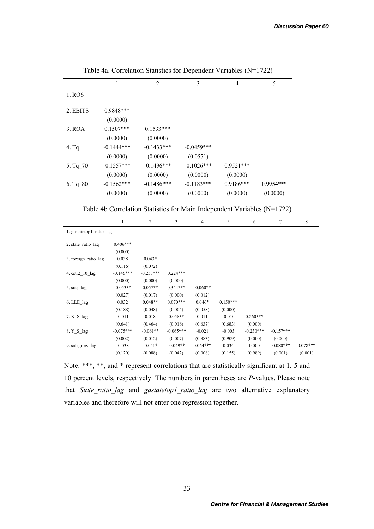|                                                                         | 1            | $\overline{c}$ |             | 3                       | 4           |             | 5                |             |  |  |  |  |
|-------------------------------------------------------------------------|--------------|----------------|-------------|-------------------------|-------------|-------------|------------------|-------------|--|--|--|--|
| 1. ROS                                                                  |              |                |             |                         |             |             |                  |             |  |  |  |  |
| 2. EBITS                                                                | 0.9848***    |                |             |                         |             |             |                  |             |  |  |  |  |
|                                                                         | (0.0000)     |                |             |                         |             |             |                  |             |  |  |  |  |
| 3. ROA                                                                  | $0.1507***$  | $0.1533***$    |             |                         |             |             |                  |             |  |  |  |  |
|                                                                         | (0.0000)     | (0.0000)       |             |                         |             |             |                  |             |  |  |  |  |
| 4. Tq                                                                   | $-0.1444***$ | $-0.1433***$   |             | $-0.0459***$            |             |             |                  |             |  |  |  |  |
|                                                                         | (0.0000)     | (0.0000)       |             | (0.0571)                |             |             |                  |             |  |  |  |  |
| 5. Tq_70                                                                | $-0.1557***$ | $-0.1496***$   |             | $-0.1026***$            | $0.9521***$ |             |                  |             |  |  |  |  |
|                                                                         | (0.0000)     | (0.0000)       |             | (0.0000)                | (0.0000)    |             |                  |             |  |  |  |  |
| 6. Tq 80                                                                | $-0.1562***$ | $-0.1486***$   |             | $-0.1183***$            | $0.9186***$ |             | $0.9954***$      |             |  |  |  |  |
|                                                                         | (0.0000)     | (0.0000)       |             | (0.0000)                | (0.0000)    |             | (0.0000)         |             |  |  |  |  |
|                                                                         |              |                |             |                         |             |             |                  |             |  |  |  |  |
| Table 4b Correlation Statistics for Main Independent Variables (N=1722) |              |                |             |                         |             |             |                  |             |  |  |  |  |
|                                                                         | $\mathbf{1}$ | $\sqrt{2}$     | 3           | $\overline{\mathbf{4}}$ | $\sqrt{5}$  | 6           | $\boldsymbol{7}$ | $\,$ 8 $\,$ |  |  |  |  |
| 1. gastatetop1 ratio lag                                                |              |                |             |                         |             |             |                  |             |  |  |  |  |
| 2. state ratio lag                                                      | $0.406***$   |                |             |                         |             |             |                  |             |  |  |  |  |
|                                                                         | (0.000)      |                |             |                         |             |             |                  |             |  |  |  |  |
| 3. foreign_ratio_lag                                                    | 0.038        | $0.043*$       |             |                         |             |             |                  |             |  |  |  |  |
|                                                                         | (0.116)      | (0.072)        |             |                         |             |             |                  |             |  |  |  |  |
| 4. cstr2 10 lag                                                         | $-0.146***$  | $-0.253***$    | $0.224***$  |                         |             |             |                  |             |  |  |  |  |
|                                                                         | (0.000)      | (0.000)        | (0.000)     |                         |             |             |                  |             |  |  |  |  |
| 5. size_lag                                                             | $-0.053**$   | $0.057**$      | $0.344***$  | $-0.060**$              |             |             |                  |             |  |  |  |  |
|                                                                         | (0.027)      | (0.017)        | (0.000)     | (0.012)                 |             |             |                  |             |  |  |  |  |
| 6. LLE_lag                                                              | 0.032        | $0.048**$      | $0.070***$  | $0.046*$                | $0.150***$  |             |                  |             |  |  |  |  |
|                                                                         | (0.188)      | (0.048)        | (0.004)     | (0.058)                 | (0.000)     |             |                  |             |  |  |  |  |
| 7. K_S_lag                                                              | $-0.011$     | 0.018          | $0.058**$   | 0.011                   | $-0.010$    | $0.260***$  |                  |             |  |  |  |  |
|                                                                         | (0.641)      | (0.464)        | (0.016)     | (0.637)                 | (0.683)     | (0.000)     |                  |             |  |  |  |  |
| 8. Y S lag                                                              | $-0.075***$  | $-0.061**$     | $-0.065***$ | $-0.021$                | $-0.003$    | $-0.230***$ | $-0.157***$      |             |  |  |  |  |
|                                                                         | (0.002)      | (0.012)        | (0.007)     | (0.383)                 | (0.909)     | (0.000)     | (0.000)          |             |  |  |  |  |
| 9. salegrow_lag                                                         | $-0.038$     | $-0.041*$      | $-0.049**$  | $0.064***$              | 0.034       | 0.000       | $-0.080***$      | $0.078***$  |  |  |  |  |
|                                                                         | (0.120)      | (0.088)        | (0.042)     | (0.008)                 | (0.155)     | (0.989)     | (0.001)          | (0.001)     |  |  |  |  |

Table 4a. Correlation Statistics for Dependent Variables (N=1722)

Note: \*\*\*, \*\*, and \* represent correlations that are statistically significant at 1, 5 and 10 percent levels, respectively. The numbers in parentheses are *P*-values. Please note that *State\_ratio\_lag* and *gastatetop1\_ratio\_lag* are two alternative explanatory variables and therefore will not enter one regression together.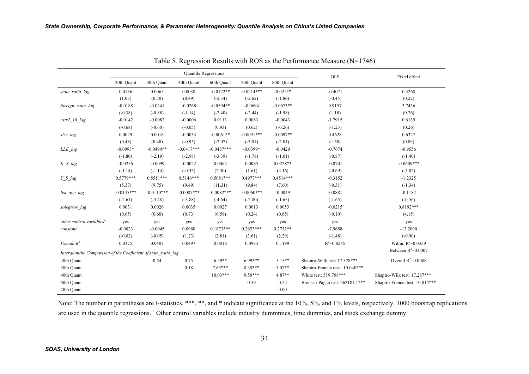|                                                                |              |              |              | Quantile Regressions |              |             | <b>OLS</b>                      | Fixed effect                    |  |
|----------------------------------------------------------------|--------------|--------------|--------------|----------------------|--------------|-------------|---------------------------------|---------------------------------|--|
|                                                                | 20th Quant   | 30th Quant   | 40th Quant   | 60th Quant           | 70th Quant   | 80th Quant  |                                 |                                 |  |
| state ratio lag                                                | 0.0136       | 0.0065       | 0.0038       | $-0.0172**$          | $-0.0214***$ | $-0.0215*$  | $-0.4071$                       | 0.4268                          |  |
|                                                                | (1.03)       | (0.70)       | (0.49)       | $(-2.34)$            | $(-2.62)$    | $(-1.86)$   | $(-0.45)$                       | (0.22)                          |  |
| foreign ratio lag                                              | $-0.0188$    | $-0.0241$    | $-0.0268$    | $-0.0594**$          | $-0.0694$    | $-0.0673**$ | 0.9157                          | 3.7436                          |  |
|                                                                | $(-0.38)$    | $(-0.88)$    | $(-1.14)$    | $(-2.40)$            | $(-2.44)$    | $(-1.98)$   | (1.18)                          | (0.26)                          |  |
| $cstr2$ 10 $lag$                                               | $-0.0142$    | $-0.0082$    | $-0.0006$    | 0.0113               | 0.0083       | $-0.0043$   | $-1.7915$                       | 0.6139                          |  |
|                                                                | $(-0.68)$    | $(-0.60)$    | $(-0.05)$    | (0.93)               | (0.62)       | $(-0.26)$   | $(-1.23)$                       | (0.26)                          |  |
| size lag                                                       | 0.0029       | 0.0016       | $-0.0033$    | $-0.0061**$          | $-0.0091***$ | $-0.0097**$ | 0.4628                          | 0.6327                          |  |
|                                                                | (0.48)       | (0.40)       | $(-0.95)$    | $(-2.07)$            | $(-3.01)$    | $(-2.01)$   | (1.50)                          | (0.89)                          |  |
| LLE_lag                                                        | $-0.0993*$   | $-0.0494**$  | $-0.0417***$ | $-0.0487***$         | $-0.0399*$   | $-0.0429$   | $-0.7674$                       | $-0.9556$                       |  |
|                                                                | $(-1.80)$    | $(-2.19)$    | $(-2.98)$    | $(-3.39)$            | $(-1.78)$    | $(-1.01)$   | $(-0.87)$                       | $(-1.40)$                       |  |
| K S lag                                                        | $-0.0256$    | $-0.0099$    | $-0.0022$    | 0.0064               | 0.0085       | $0.0228**$  | $-0.0701$                       | $-0.0609***$                    |  |
|                                                                | $(-1.14)$    | $(-1.14)$    | $(-0.33)$    | (2.30)               | (1.61)       | (2.16)      | $(-0.69)$                       | $(-3.02)$                       |  |
| Y S lag                                                        | $0.5779***$  | $0.5511***$  | $0.5146***$  | $0.5081***$          | $0.4977***$  | $0.4514***$ | $-0.3152$                       | $-1.2325$                       |  |
|                                                                | (5.37)       | (9.75)       | (9.49)       | (11.31)              | (9.84)       | (7.60)      | $(-0.31)$                       | $(-1.34)$                       |  |
| list_age_lag                                                   | $-0.0145***$ | $-0.0110***$ | $-0.0087***$ | $-0.0082***$         | $-0.0060***$ | $-0.0049$   | $-0.0881$                       | $-0.1182$                       |  |
|                                                                | $(-2.61)$    | $(-3.48)$    | $(-3.88)$    | $(-4.64)$            | $(-2.80)$    | $(-1.65)$   | $(-1.65)$                       | $(-0.56)$                       |  |
| salegrow lag                                                   | 0.0031       | 0.0026       | 0.0035       | 0.0027               | 0.0013       | 0.0053      | $-0.0215$                       | $0.8192***$                     |  |
|                                                                | (0.65)       | (0.60)       | (0.73)       | (0.58)               | (0.24)       | (0.85)      | $(-0.10)$                       | (4.15)                          |  |
| other control variables <sup>a</sup>                           | yes          | yes          | yes          | yes                  | yes          | yes         | yes                             | yes                             |  |
| constant                                                       | $-0.0023$    | $-0.0045$    | 0.0960       | $0.1873***$          | $0.2673***$  | $0.2732**$  | $-7.9658$                       | $-13.2090$                      |  |
|                                                                | $(-0.02)$    | $(-0.05)$    | (1.23)       | (2.81)               | (3.61)       | (2.29)      | $(-1.48)$                       | $(-0.90)$                       |  |
| Pseudo $R^2$                                                   | 0.0375       | 0.0403       | 0.0497       | 0.0816               | 0.0983       | 0.1199      | $R^2 = 0.0245$                  | Within $R^2 = 0.0359$           |  |
| Interguantile Comparison of the Coefficient of state ratio lag |              |              |              |                      |              |             |                                 | Between $R^2$ =0.0007           |  |
| 20th Quant                                                     |              | 0.54         | 0.75         | $6.29**$             | $6.99***$    | $5.15**$    | Shapiro-Wilk test: 17.378***    | Overall $R^2$ =0.0088           |  |
| 30th Quant                                                     |              |              | 0.18         | $7.65***$            | 8.38***      | 5.07**      | Shapiro-Francia test: 10.040*** |                                 |  |
| 40th Quant                                                     |              |              |              | $10.03***$           | $9.50***$    | 4.87**      | White test: 519.708***          | Shapiro-Wilk test: 17.287***    |  |
| 60th Quant                                                     |              |              |              |                      | 0.59         | 0.22        | Breusch-Pagan test: 662181.1*** | Shapiro-Francia test: 10.014*** |  |
| 70th Quant                                                     |              |              |              |                      |              | 0.00        |                                 |                                 |  |

Table 5. Regression Results with ROS as the Performance Measure (N=1746)

Note: The number in parentheses are t-statistics. \*\*\*, \*\*, and \* indicate significance at the 10%, 5%, and 1% levels, respectively. 1000 bootstrap replications are used in the quantile regressions. <sup>a</sup> Other control variables include industry dummmies, time dummies, and stock exchange dummy.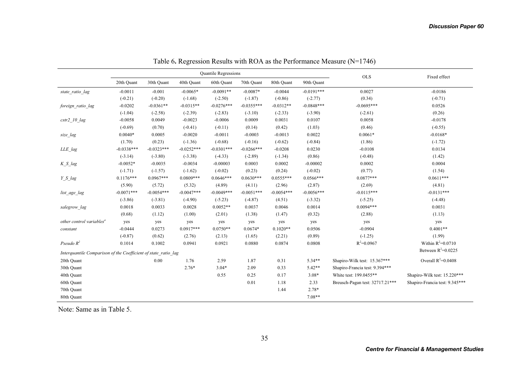|                                                                |              |              |              | Quantile Regressions |              |              |              | <b>OLS</b>                      | Fixed effect                   |  |
|----------------------------------------------------------------|--------------|--------------|--------------|----------------------|--------------|--------------|--------------|---------------------------------|--------------------------------|--|
|                                                                | 20th Quant   | 30th Quant   | 40th Quant   | 60th Quant           | 70th Quant   | 80th Quant   | 90th Quant   |                                 |                                |  |
| state ratio lag                                                | $-0.0011$    | $-0.001$     | $-0.0065*$   | $-0.0091**$          | $-0.0087*$   | $-0.0044$    | $-0.0191***$ | 0.0027                          | $-0.0186$                      |  |
|                                                                | $(-0.21)$    | $(-0.20)$    | $(-1.68)$    | $(-2.50)$            | $(-1.87)$    | $(-0.86)$    | $(-2.77)$    | (0.34)                          | $(-0.71)$                      |  |
| foreign ratio lag                                              | $-0.0202$    | $-0.0361**$  | $-0.0315**$  | $-0.0276***$         | $-0.0355***$ | $-0.0312**$  | $-0.0848***$ | $-0.0695***$                    | 0.0526                         |  |
|                                                                | $(-1.04)$    | $(-2.58)$    | $(-2.39)$    | $(-2.83)$            | $(-3.10)$    | $(-2.33)$    | $(-3.90)$    | $(-2.61)$                       | (0.26)                         |  |
| $cstr2\_10$ lag                                                | $-0.0058$    | 0.0049       | $-0.0023$    | $-0.0006$            | 0.0009       | 0.0031       | 0.0107       | 0.0058                          | $-0.0178$                      |  |
|                                                                | $(-0.69)$    | (0.70)       | $(-0.41)$    | $(-0.11)$            | (0.14)       | (0.42)       | (1.03)       | (0.46)                          | $(-0.55)$                      |  |
| size lag                                                       | $0.0040*$    | 0.0005       | $-0.0020$    | $-0.0011$            | $-0.0003$    | $-0.0013$    | 0.0022       | $0.0061*$                       | $-0.0168*$                     |  |
|                                                                | (1.70)       | (0.23)       | $(-1.36)$    | $(-0.68)$            | $(-0.16)$    | $(-0.62)$    | $(-0.84)$    | (1.86)                          | $(-1.72)$                      |  |
| LLE_lag                                                        | $-0.0338***$ | $-0.0323***$ | $-0.0252***$ | $-0.0301***$         | $-0.0266***$ | $-0.0208$    | 0.0230       | $-0.0108$                       | 0.0134                         |  |
|                                                                | $(-3.14)$    | $(-3.80)$    | $(-3.38)$    | $(-4.33)$            | $(-2.89)$    | $(-1.34)$    | (0.86)       | $(-0.48)$                       | (1.42)                         |  |
| K S lag                                                        | $-0.0052*$   | $-0.0035$    | $-0.0034$    | $-0.00003$           | 0.0003       | 0.0002       | $-0.00002$   | 0.0002                          | 0.0004                         |  |
|                                                                | $(-1.71)$    | $(-1.57)$    | $(-1.62)$    | $(-0.02)$            | (0.23)       | (0.24)       | $(-0.02)$    | (0.77)                          | (1.54)                         |  |
| Y S lag                                                        | $0.1176***$  | $0.0967***$  | $0.0809***$  | $0.0646***$          | $0.0630***$  | $0.0555***$  | $0.0566***$  | $0.0877***$                     | $0.0611***$                    |  |
|                                                                | (5.90)       | (5.72)       | (5.32)       | (4.89)               | (4.11)       | (2.96)       | (2.87)       | (2.69)                          | (4.81)                         |  |
| list_age_lag                                                   | $-0.0071***$ | $-0.0054***$ | $-0.0047***$ | $-0.0049***$         | $-0.0051***$ | $-0.0054***$ | $-0.0056***$ | $-0.0115***$                    | $-0.0131***$                   |  |
|                                                                | $(-3.86)$    | $(-3.81)$    | $(-4.90)$    | $(-5.23)$            | $(-4.87)$    | (4.51)       | $(-3.32)$    | $(-5.25)$                       | $(-4.48)$                      |  |
| salegrow lag                                                   | 0.0018       | 0.0033       | 0.0028       | $0.0052**$           | 0.0037       | 0.0046       | 0.0014       | $0.0094***$                     | 0.0031                         |  |
|                                                                | (0.68)       | (1.12)       | (1.00)       | (2.01)               | (1.38)       | (1.47)       | (0.32)       | (2.88)                          | (1.13)                         |  |
| other control variables <sup>a</sup>                           | yes          | yes          | yes          | yes                  | yes          | yes          | yes          | yes                             | yes                            |  |
| constant                                                       | $-0.0444$    | 0.0273       | $0.0917***$  | $0.0750**$           | $0.0674*$    | $0.1020**$   | 0.0506       | $-0.0904$                       | $0.4001**$                     |  |
|                                                                | $(-0.87)$    | (0.62)       | (2.76)       | (2.13)               | (1.65)       | (2.21)       | (0.89)       | $(-1.25)$                       | (1.99)                         |  |
| Pseudo $R^2$                                                   | 0.1014       | 0.1002       | 0.0941       | 0.0921               | 0.0880       | 0.0874       | 0.0808       | $R^2 = 0.0967$                  | Within $R^2 = 0.0710$          |  |
| Interquantile Comparison of the Coefficient of state ratio lag |              |              |              |                      |              |              |              |                                 | Between $R^2$ =0.0225          |  |
| 20th Quant                                                     |              | 0.00         | 1.76         | 2.59                 | 1.87         | 0.31         | $5.34**$     | Shapiro-Wilk test: 15.367***    | Overall $R^2=0.0408$           |  |
| 30th Quant                                                     |              |              | $2.76*$      | $3.04*$              | 2.09         | 0.33         | $5.42**$     | Shapiro-Francia test: 9.394***  |                                |  |
| 40th Quant                                                     |              |              |              | 0.55                 | 0.25         | 0.17         | $3.08*$      | White test: 199.0455**          | Shapiro-Wilk test: 15.220***   |  |
| 60th Quant                                                     |              |              |              |                      | 0.01         | 1.18         | 2.33         | Breusch-Pagan test: 32717.21*** | Shapiro-Francia test: 9.345*** |  |
| 70th Quant                                                     |              |              |              |                      |              | 1.44         | 2.78*        |                                 |                                |  |
| 80th Quant                                                     |              |              |              |                      |              |              | $7.08**$     |                                 |                                |  |

Table 6**.** Regression Results with ROA as the Performance Measure (N=1746)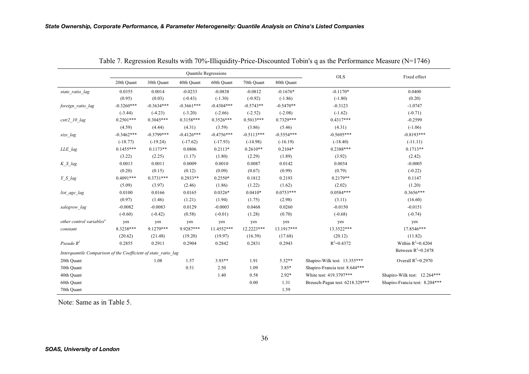|                                                                |              |              |              | Quantile Regressions |              |              | <b>OLS</b>                      | Fixed effect                   |
|----------------------------------------------------------------|--------------|--------------|--------------|----------------------|--------------|--------------|---------------------------------|--------------------------------|
|                                                                | 20th Quant   | 30th Quant   | 40th Quant   | 60th Quant           | 70th Quant   | 80th Ouant   |                                 |                                |
| state_ratio_lag                                                | 0.0355       | 0.0014       | $-0.0233$    | $-0.0838$            | $-0.0812$    | $-0.1676*$   | $-0.1170*$                      | 0.0400                         |
|                                                                | (0.95)       | (0.03)       | $(-0.43)$    | $(-1.30)$            | $(-0.92)$    | $(-1.86)$    | $(-1.80)$                       | (0.20)                         |
| foreign ratio lag                                              | $-0.3260***$ | $-0.3634***$ | $-0.3661***$ | $-0.4304***$         | $-0.5743**$  | $-0.5470**$  | $-0.3123$                       | $-1.0747$                      |
|                                                                | $(-3.44)$    | $(-4.23)$    | $(-3.20)$    | $(-2.66)$            | $(-2.52)$    | $(-2.08)$    | $(-1.62)$                       | $(-0.71)$                      |
| $cstr2$ 10 $lag$                                               | $0.2501***$  | $0.3045***$  | $0.3158***$  | $0.3526***$          | $0.5013***$  | $0.7329***$  | $0.4317***$                     | $-0.2599$                      |
|                                                                | (4.59)       | (4.44)       | (4.31)       | (3.59)               | (3.86)       | (5.46)       | (4.31)                          | $(-1.06)$                      |
| size_lag                                                       | $-0.3462***$ | $-0.3799***$ | $-0.4126***$ | $-0.4756***$         | $-0.5113***$ | $-0.5554***$ | $-0.5695***$                    | $-0.8193***$                   |
|                                                                | $(-18.77)$   | $(-19.24)$   | $(-17.62)$   | $(-17.93)$           | $(-14.98)$   | $(-16.19)$   | $(-18.40)$                      | $(-11.11)$                     |
| LLE_lag                                                        | $0.1455***$  | $0.1173**$   | 0.0806       | $0.2113*$            | $0.2610**$   | $0.2104*$    | $0.2388***$                     | $0.1713**$                     |
|                                                                | (3.22)       | (2.25)       | (1.17)       | (1.80)               | (2.29)       | (1.89)       | (3.92)                          | (2.42)                         |
| $K S$ lag                                                      | 0.0013       | 0.0011       | 0.0009       | 0.0010               | 0.0087       | 0.0142       | 0.0034                          | $-0.0005$                      |
|                                                                | (0.20)       | (0.15)       | (0.12)       | (0.09)               | (0.67)       | (0.99)       | (0.79)                          | $(-0.22)$                      |
| Y S lag                                                        | $0.4091***$  | $0.3731***$  | $0.2933**$   | $0.2550*$            | 0.1812       | 0.2193       | $0.2179**$                      | 0.1147                         |
|                                                                | (5.09)       | (3.97)       | (2.46)       | (1.86)               | (1.22)       | (1.62)       | (2.02)                          | (1.20)                         |
| list_age_lag                                                   | 0.0100       | 0.0166       | 0.0165       | $0.0326*$            | $0.0410*$    | $0.0753***$  | $0.0584***$                     | $0.3656***$                    |
|                                                                | (0.97)       | (1.46)       | (1.21)       | (1.94)               | (1.75)       | (2.98)       | (3.11)                          | (16.60)                        |
| salegrow lag                                                   | $-0.0082$    | $-0.0083$    | 0.0129       | $-0.0003$            | 0.0468       | 0.0260       | $-0.0150$                       | $-0.0151$                      |
|                                                                | $(-0.60)$    | $(-0.42)$    | (0.58)       | $(-0.01)$            | (1.28)       | (0.70)       | $(-0.68)$                       | $(-0.74)$                      |
| other control variables <sup>a</sup>                           | yes          | yes          | yes          | yes                  | yes          | yes          | yes                             | yes                            |
| constant                                                       | 8.3238***    | 9.1279***    | 9.9287***    | 11.4552***           | 12.2223***   | 13.1917***   | 13.3522***                      | 17.8546***                     |
|                                                                | (20.62)      | (21.48)      | (19.20)      | (19.97)              | (16.39)      | (17.68)      | (20.12)                         | (11.82)                        |
| Pseudo $R^2$                                                   | 0.2855       | 0.2911       | 0.2904       | 0.2842               | 0.2831       | 0.2943       | $R^2 = 0.4372$                  | Within $R^2=0.4204$            |
| Interguantile Comparison of the Coefficient of state ratio lag |              |              |              |                      |              |              |                                 | Between $R^2=0.2478$           |
| 20th Quant                                                     |              | 1.08         | 1.57         | $3.93**$             | 1.91         | $5.32**$     | Shapiro-Wilk test: 13.355***    | Overall $R^2=0.2970$           |
| 30th Quant                                                     |              |              | 0.51         | 2.50                 | 1.09         | $3.85*$      | Shapiro-Francia test: 8.644***  |                                |
| 40th Quant                                                     |              |              |              | 1.40                 | 0.58         | $2.92*$      | White test: 419.3797***         | Shapiro-Wilk test: 12.264***   |
| 60th Quant                                                     |              |              |              |                      | 0.00         | 1.31         | Breusch-Pagan test: 6218.329*** | Shapiro-Francia test: 8.204*** |
| 70th Quant                                                     |              |              |              |                      |              | 1.59         |                                 |                                |

Table 7. Regression Results with 70%-Illiquidity-Price-Discounted Tobin's q as the Performance Measure (N=1746)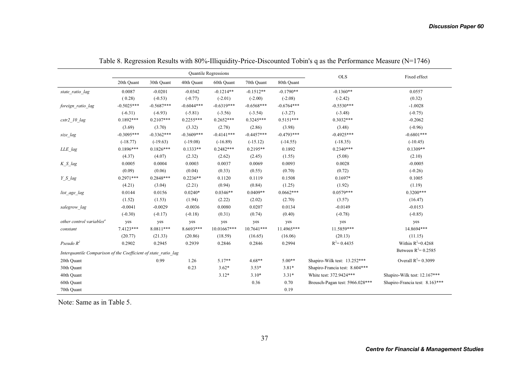|                                                                |              |              |              | <b>Quantile Regressions</b> |              |              | <b>OLS</b>                      | Fixed effect                   |
|----------------------------------------------------------------|--------------|--------------|--------------|-----------------------------|--------------|--------------|---------------------------------|--------------------------------|
|                                                                | 20th Quant   | 30th Quant   | 40th Quant   | 60th Quant                  | 70th Quant   | 80th Quant   |                                 |                                |
| state ratio lag                                                | 0.0087       | $-0.0201$    | $-0.0342$    | $-0.1214**$                 | $-0.1512**$  | $-0.1790**$  | $-0.1360**$                     | 0.0557                         |
|                                                                | (0.28)       | $(-0.53)$    | $(-0.77)$    | $(-2.01)$                   | $(-2.00)$    | $(-2.08)$    | $(-2.42)$                       | (0.32)                         |
| foreign_ratio_lag                                              | $-0.5025***$ | $-0.5687***$ | $-0.6044***$ | $-0.6319***$                | $-0.6568***$ | $-0.6764***$ | $-0.5530***$                    | $-1.0028$                      |
|                                                                | $(-6.31)$    | $(-6.93)$    | $(-5.81)$    | $(-3.56)$                   | $(-3.54)$    | $(-3.27)$    | $(-3.48)$                       | $(-0.75)$                      |
| $cstr2$ 10 $lag$                                               | $0.1892***$  | $0.2107***$  | $0.2255***$  | $0.2652***$                 | $0.3245***$  | $0.5151***$  | $0.3032***$                     | $-0.2062$                      |
|                                                                | (3.69)       | (3.70)       | (3.32)       | (2.78)                      | (2.86)       | (3.98)       | (3.48)                          | $(-0.96)$                      |
| size lag                                                       | $-0.3095***$ | $-0.3362***$ | $-0.3609***$ | $-0.4141***$                | $-0.4457***$ | $-0.4793***$ | $-0.4925***$                    | $-0.6801***$                   |
|                                                                | $(-18.77)$   | $(-19.63)$   | $(-19.08)$   | $(-16.89)$                  | $(-15.12)$   | $(-14.55)$   | $(-18.35)$                      | $(-10.45)$                     |
| LLE_lag                                                        | $0.1896***$  | $0.1826***$  | $0.1333**$   | $0.2482***$                 | $0.2195**$   | 0.1892       | $0.2340***$                     | $0.1309**$                     |
|                                                                | (4.37)       | (4.07)       | (2.32)       | (2.62)                      | (2.45)       | (1.55)       | (5.08)                          | (2.10)                         |
| K S lag                                                        | 0.0005       | 0.0004       | 0.0003       | 0.0037                      | 0.0069       | 0.0093       | 0.0028                          | $-0.0005$                      |
|                                                                | (0.09)       | (0.06)       | (0.04)       | (0.33)                      | (0.55)       | (0.70)       | (0.72)                          | $(-0.26)$                      |
| Y S lag                                                        | $0.2971***$  | $0.2848***$  | $0.2236**$   | 0.1120                      | 0.1119       | 0.1508       | $0.1697*$                       | 0.1005                         |
|                                                                | (4.21)       | (3.04)       | (2.21)       | (0.94)                      | (0.84)       | (1.25)       | (1.92)                          | (1.19)                         |
| list_age_lag                                                   | 0.0144       | 0.0156       | $0.0240*$    | $0.0346**$                  | $0.0409**$   | $0.0662***$  | $0.0579***$                     | $0.3200***$                    |
|                                                                | (1.52)       | (1.53)       | (1.94)       | (2.22)                      | (2.02)       | (2.70)       | (3.57)                          | (16.47)                        |
| salegrow lag                                                   | $-0.0041$    | $-0.0029$    | $-0.0036$    | 0.0080                      | 0.0207       | 0.0134       | $-0.0149$                       | $-0.0153$                      |
|                                                                | $(-0.30)$    | $(-0.17)$    | $(-0.18)$    | (0.31)                      | (0.74)       | (0.40)       | $(-0.78)$                       | $(-0.85)$                      |
| other control variables <sup>a</sup>                           | yes          | yes          | yes          | yes                         | yes          | yes          | yes                             | yes                            |
| constant                                                       | 7.4123***    | 8.0811***    | 8.6693***    | 10.01667***                 | 10.7641***   | 11.4965***   | 11.5859***                      | 14.8694***                     |
|                                                                | (20.77)      | (21.33)      | (20.86)      | (18.59)                     | (16.65)      | (16.06)      | (20.13)                         | (11.15)                        |
| Pseudo $R^2$                                                   | 0.2902       | 0.2945       | 0.2939       | 0.2846                      | 0.2846       | 0.2994       | $R^2$ = 0.4435                  | Within $R^2=0.4268$            |
| Interquantile Comparison of the Coefficient of state ratio lag |              |              |              |                             |              |              |                                 | Between $R^2$ = 0.2585         |
| 20th Quant                                                     |              | 0.99         | 1.26         | $5.17**$                    | $4.68**$     | $5.00**$     | Shapiro-Wilk test: 13.252***    | Overall $R^2 = 0.3099$         |
| 30th Quant                                                     |              |              | 0.23         | $3.62*$                     | $3.53*$      | $3.81*$      | Shapiro-Francia test: 8.604***  |                                |
| 40th Quant                                                     |              |              |              | $3.12*$                     | $3.10*$      | $3.31*$      | White test: 372.9424***         | Shapiro-Wilk test: 12.167***   |
| 60th Quant                                                     |              |              |              |                             | 0.36         | 0.70         | Breusch-Pagan test: 5966.028*** | Shapiro-Francia test: 8.163*** |
| 70th Quant                                                     |              |              |              |                             |              | 0.19         |                                 |                                |

Table 8. Regression Results with 80%-Illiquidity-Price-Discounted Tobin's q as the Performance Measure (N=1746)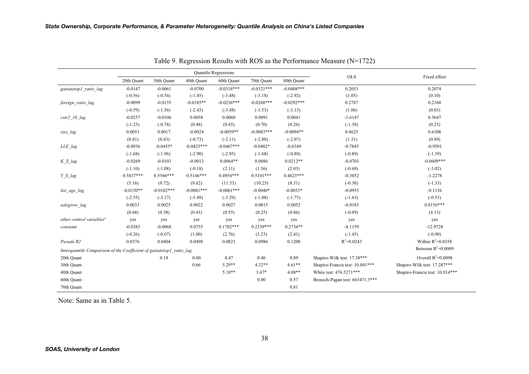|                                                                      |             |              |              | <b>Quantile Regressions</b> |              |              |                                 | Fixed effect                    |
|----------------------------------------------------------------------|-------------|--------------|--------------|-----------------------------|--------------|--------------|---------------------------------|---------------------------------|
|                                                                      | 20th Quant  | 30th Quant   | 40th Quant   | 60th Quant                  | 70th Quant   | 80th Quant   | <b>OLS</b>                      |                                 |
| gastatetop1 ratio lag                                                | $-0.0147$   | $-0.0061$    | $-0.0700$    | $-0.0318***$                | $-0.0321***$ | $-0.0408***$ | 0.2053                          | 0.2074                          |
|                                                                      | $(-0.56)$   | $(-0.54)$    | $(-1.45)$    | $(-3.48)$                   | $(-3.18)$    | $(-2.92)$    | (1.05)                          | (0.10)                          |
| foreign ratio lag                                                    | $-0.0099$   | $-0.0135$    | $-0.0185**$  | $-0.0236***$                | $-0.0268***$ | $-0.0292***$ | 0.2787                          | 0.2160                          |
|                                                                      | $(-0.59)$   | $(-1.56)$    | $(-2.43)$    | $(-3.48)$                   | $(-3.53)$    | $(-3.13)$    | (1.06)                          | (0.03)                          |
| $cstr2$ 10 $lag$                                                     | $-0.0257$   | $-0.0106$    | 0.0058       | 0.0060                      | 0.0091       | 0.0041       | $-1.6147$                       | 0.5647                          |
|                                                                      | $(-1.23)$   | $(-0.78)$    | (0.48)       | (0.45)                      | (0.70)       | (0.26)       | $(-1.38)$                       | (0.23)                          |
| size lag                                                             | 0.0051      | 0.0017       | $-0.0024$    | $-0.0059**$                 | $-0.0083***$ | $-0.0094**$  | 0.4625                          | 0.6308                          |
|                                                                      | (0.81)      | (0.43)       | $(-0.73)$    | $(-2.11)$                   | $(-2.80)$    | $(-2.07)$    | (1.51)                          | (0.89)                          |
| LLE lag                                                              | $-0.0936$   | $-0.0455*$   | $-0.0425***$ | $-0.0467***$                | $-0.0402*$   | $-0.0349$    | $-0.7845$                       | $-0.9501$                       |
|                                                                      | $(-1.68)$   | $(-1.96)$    | $(-2.90)$    | $(-2.95)$                   | $(-1.68)$    | $(-0.80)$    | $(-0.89)$                       | $(-1.39)$                       |
| K S lag                                                              | $-0.0269$   | $-0.0103$    | $-0.0013$    | $0.0064**$                  | 0.0086       | $0.0212**$   | $-0.0703$                       | $-0.0609***$                    |
|                                                                      | $(-1.10)$   | $(-1.08)$    | $(-0.18)$    | (2.11)                      | (1.56)       | (2.03)       | $(-0.69)$                       | $(-3.02)$                       |
| Y S lag                                                              | $0.5837***$ | $0.5566***$  | $0.5146***$  | $0.4954***$                 | $0.5101***$  | $0.4623***$  | $-0.3052$                       | $-1.2278$                       |
|                                                                      | (5.16)      | (9.72)       | (9.62)       | (11.53)                     | (10.25)      | (8.31)       | $(-0.30)$                       | $(-1.33)$                       |
| list_age_lag                                                         | $-0.0150**$ | $-0.0102***$ | $-0.0081***$ | $-0.0061***$                | $-0.0040*$   | $-0.0053*$   | $-0.0955$                       | $-0.1136$                       |
|                                                                      | $(-2.55)$   | $(-3.17)$    | $(-3.49)$    | $(-3.29)$                   | $(-1.88)$    | $(-1.75)$    | $(-1.63)$                       | $(-0.53)$                       |
| salegrow lag                                                         | 0.0033      | 0.0025       | 0.0022       | 0.0027                      | 0.0015       | 0.0052       | $-0.0183$                       | $0.8156***$                     |
|                                                                      | (0.68)      | (0.58)       | (0.43)       | (0.55)                      | (0.25)       | (0.86)       | $(-0.09)$                       | (4.13)                          |
| other control variables <sup>a</sup>                                 | yes         | yes          | yes          | yes                         | yes          | yes          | yes                             | yes                             |
| constant                                                             | $-0.0383$   | $-0.0068$    | 0.0755       | $0.1782***$                 | $0.2339***$  | $0.2736**$   | $-8.1159$                       | $-12.9728$                      |
|                                                                      | $(-0.26)$   | $(-0.07)$    | (1.00)       | (2.76)                      | (3.23)       | (2.41)       | $(-1.45)$                       | $(-0.90)$                       |
| Pseudo R2                                                            | 0.0376      | 0.0404       | 0.0498       | 0.0821                      | 0.0986       | 0.1208       | $R^2 = 0.0243$                  | Within $R^2 = 0.0358$           |
| Interquantile Comparison of the Coefficient of gastatetop1 ratio lag |             |              |              |                             |              |              |                                 | Between $R^2$ =0.0009           |
| 20th Quant                                                           |             | 0.19         | 0.00         | 0.47                        | 0.46         | 0.89         | Shapiro-Wilk test: 17.38***     | Overall $R^2$ =0.0098           |
| 30th Quant                                                           |             |              | 0.66         | $5.29**$                    | $4.32**$     | $4.61**$     | Shapiro-Francia test: 10.041*** | Shapiro-Wilk test: 17.287***    |
| 40th Quant                                                           |             |              |              | $5.18**$                    | $3.67*$      | $4.08**$     | White test: 476.5271***         | Shapiro-Francia test: 10.014*** |
| 60th Quant                                                           |             |              |              |                             | 0.00         | 0.57         | Breusch-Pagan test: 663471.3*** |                                 |
| 70th Quant                                                           |             |              |              |                             |              | 0.81         |                                 |                                 |

Table 9. Regression Results with ROS as the Performance Measure (N=1722)